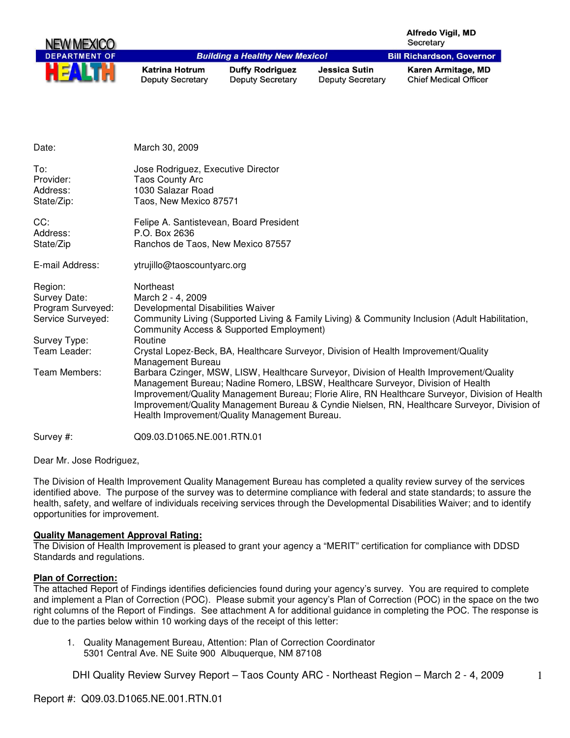| NEW MEXICO           |                                                  |                                                   |                                                 | <b>Alfredo Vigil, MD</b><br>Secretary              |
|----------------------|--------------------------------------------------|---------------------------------------------------|-------------------------------------------------|----------------------------------------------------|
| <b>DEPARTMENT OF</b> |                                                  | <b>Building a Healthy New Mexico!</b>             |                                                 | <b>Bill Richardson, Governor</b>                   |
| HE                   | <b>Katrina Hotrum</b><br><b>Deputy Secretary</b> | <b>Duffy Rodriguez</b><br><b>Deputy Secretary</b> | <b>Jessica Sutin</b><br><b>Deputy Secretary</b> | Karen Armitage, MD<br><b>Chief Medical Officer</b> |

| Date:                                                                                             | March 30, 2009                                                                                                                                                                                                                                                                                                                                                                                                                                      |
|---------------------------------------------------------------------------------------------------|-----------------------------------------------------------------------------------------------------------------------------------------------------------------------------------------------------------------------------------------------------------------------------------------------------------------------------------------------------------------------------------------------------------------------------------------------------|
| To:<br>Provider:<br>Address:<br>State/Zip:                                                        | Jose Rodriguez, Executive Director<br><b>Taos County Arc</b><br>1030 Salazar Road<br>Taos, New Mexico 87571                                                                                                                                                                                                                                                                                                                                         |
| CC:<br>Address:<br>State/Zip                                                                      | Felipe A. Santistevean, Board President<br>P.O. Box 2636<br>Ranchos de Taos, New Mexico 87557                                                                                                                                                                                                                                                                                                                                                       |
| E-mail Address:                                                                                   | ytrujillo@taoscountyarc.org                                                                                                                                                                                                                                                                                                                                                                                                                         |
| Region:<br>Survey Date:<br>Program Surveyed:<br>Service Surveyed:<br>Survey Type:<br>Team Leader: | Northeast<br>March 2 - 4, 2009<br>Developmental Disabilities Waiver<br>Community Living (Supported Living & Family Living) & Community Inclusion (Adult Habilitation,<br>Community Access & Supported Employment)<br>Routine<br>Crystal Lopez-Beck, BA, Healthcare Surveyor, Division of Health Improvement/Quality                                                                                                                                 |
| Team Members:                                                                                     | Management Bureau<br>Barbara Czinger, MSW, LISW, Healthcare Surveyor, Division of Health Improvement/Quality<br>Management Bureau; Nadine Romero, LBSW, Healthcare Surveyor, Division of Health<br>Improvement/Quality Management Bureau; Florie Alire, RN Healthcare Surveyor, Division of Health<br>Improvement/Quality Management Bureau & Cyndie Nielsen, RN, Healthcare Surveyor, Division of<br>Health Improvement/Quality Management Bureau. |
| Survey #:                                                                                         | Q09.03.D1065.NE.001.RTN.01                                                                                                                                                                                                                                                                                                                                                                                                                          |

Dear Mr. Jose Rodriguez,

The Division of Health Improvement Quality Management Bureau has completed a quality review survey of the services identified above. The purpose of the survey was to determine compliance with federal and state standards; to assure the health, safety, and welfare of individuals receiving services through the Developmental Disabilities Waiver; and to identify opportunities for improvement.

# **Quality Management Approval Rating:**

The Division of Health Improvement is pleased to grant your agency a "MERIT" certification for compliance with DDSD Standards and regulations.

# **Plan of Correction:**

The attached Report of Findings identifies deficiencies found during your agency's survey. You are required to complete and implement a Plan of Correction (POC). Please submit your agency's Plan of Correction (POC) in the space on the two right columns of the Report of Findings. See attachment A for additional guidance in completing the POC. The response is due to the parties below within 10 working days of the receipt of this letter:

1. Quality Management Bureau, Attention: Plan of Correction Coordinator 5301 Central Ave. NE Suite 900 Albuquerque, NM 87108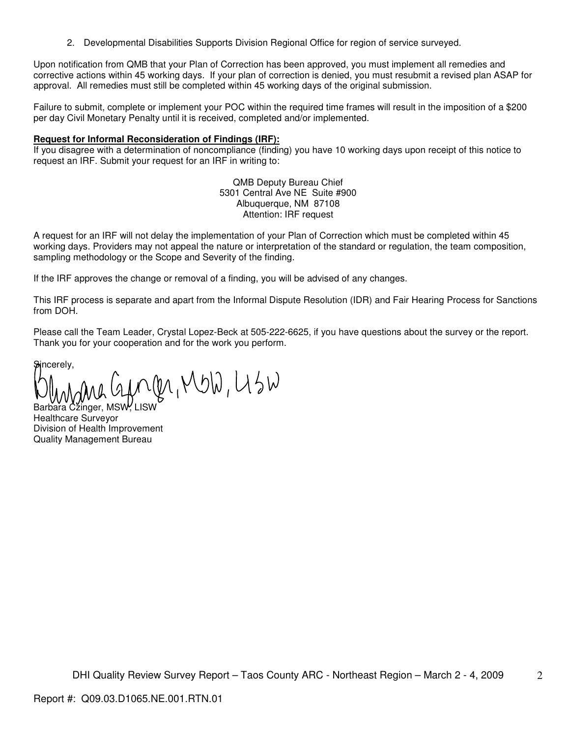2. Developmental Disabilities Supports Division Regional Office for region of service surveyed.

Upon notification from QMB that your Plan of Correction has been approved, you must implement all remedies and corrective actions within 45 working days. If your plan of correction is denied, you must resubmit a revised plan ASAP for approval. All remedies must still be completed within 45 working days of the original submission.

Failure to submit, complete or implement your POC within the required time frames will result in the imposition of a \$200 per day Civil Monetary Penalty until it is received, completed and/or implemented.

#### **Request for Informal Reconsideration of Findings (IRF):**

If you disagree with a determination of noncompliance (finding) you have 10 working days upon receipt of this notice to request an IRF. Submit your request for an IRF in writing to:

> QMB Deputy Bureau Chief 5301 Central Ave NE Suite #900 Albuquerque, NM 87108 Attention: IRF request

A request for an IRF will not delay the implementation of your Plan of Correction which must be completed within 45 working days. Providers may not appeal the nature or interpretation of the standard or regulation, the team composition, sampling methodology or the Scope and Severity of the finding.

If the IRF approves the change or removal of a finding, you will be advised of any changes.

This IRF process is separate and apart from the Informal Dispute Resolution (IDR) and Fair Hearing Process for Sanctions from DOH.

Please call the Team Leader, Crystal Lopez-Beck at 505-222-6625, if you have questions about the survey or the report. Thank you for your cooperation and for the work you perform.

Sincerely.

 $\lambda$ bara Cžinger, MSW<sup>,</sup> LISW

Healthcare Surveyor Division of Health Improvement Quality Management Bureau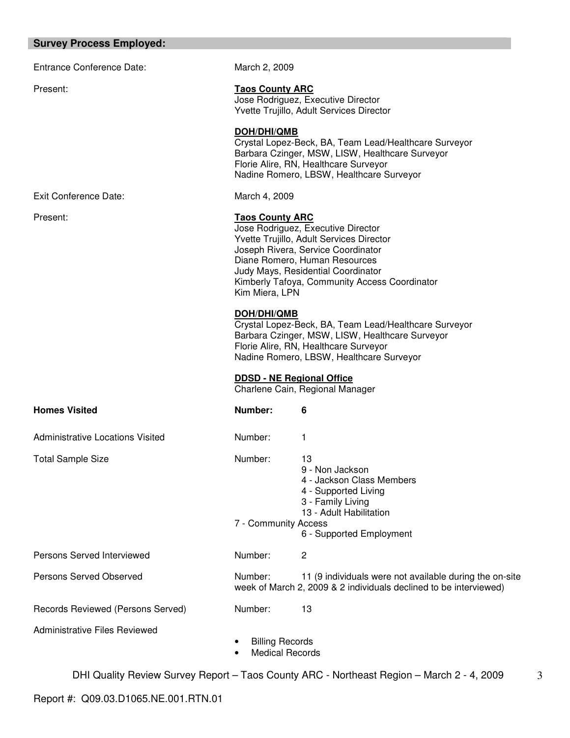#### **Survey Process Employed:**

Entrance Conference Date: March 2, 2009

Present: **Taos County ARC** Jose Rodriguez, Executive Director Yvette Trujillo, Adult Services Director

> **DOH/DHI/QMB** Crystal Lopez-Beck, BA, Team Lead/Healthcare Surveyor

> Barbara Czinger, MSW, LISW, Healthcare Surveyor Florie Alire, RN, Healthcare Surveyor Nadine Romero, LBSW, Healthcare Surveyor

Exit Conference Date: March 4, 2009

# Present: **Taos County ARC**

Jose Rodriguez, Executive Director Yvette Trujillo, Adult Services Director Joseph Rivera, Service Coordinator Diane Romero, Human Resources Judy Mays, Residential Coordinator Kimberly Tafoya, Community Access Coordinator Kim Miera, LPN

# **DOH/DHI/QMB**

Crystal Lopez-Beck, BA, Team Lead/Healthcare Surveyor Barbara Czinger, MSW, LISW, Healthcare Surveyor Florie Alire, RN, Healthcare Surveyor Nadine Romero, LBSW, Healthcare Surveyor

#### **DDSD - NE Regional Office**

Charlene Cain, Regional Manager

| <b>Homes Visited</b>                 | Number:                                          | 6                                                                                                                                                      |
|--------------------------------------|--------------------------------------------------|--------------------------------------------------------------------------------------------------------------------------------------------------------|
| Administrative Locations Visited     | Number:                                          | 1                                                                                                                                                      |
| <b>Total Sample Size</b>             | Number:<br>7 - Community Access                  | 13<br>9 - Non Jackson<br>4 - Jackson Class Members<br>4 - Supported Living<br>3 - Family Living<br>13 - Adult Habilitation<br>6 - Supported Employment |
| Persons Served Interviewed           | Number:                                          | 2                                                                                                                                                      |
| Persons Served Observed              | Number:                                          | 11 (9 individuals were not available during the on-site<br>week of March 2, 2009 & 2 individuals declined to be interviewed)                           |
| Records Reviewed (Persons Served)    | Number:                                          | 13                                                                                                                                                     |
| <b>Administrative Files Reviewed</b> | <b>Billing Records</b><br><b>Medical Records</b> |                                                                                                                                                        |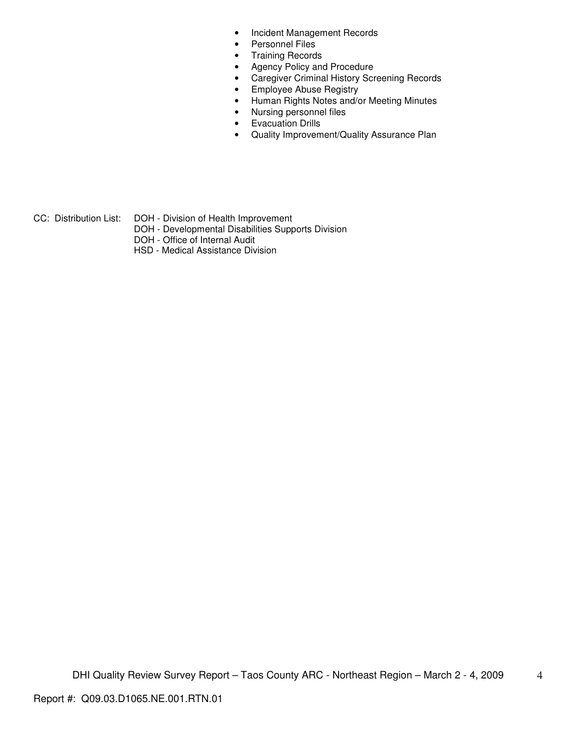- Incident Management Records
- Personnel Files
- Training Records
- Agency Policy and Procedure
- Caregiver Criminal History Screening Records
- Employee Abuse Registry
- Human Rights Notes and/or Meeting Minutes
- Nursing personnel files
- Evacuation Drills
- Quality Improvement/Quality Assurance Plan

- 
- CC: Distribution List: DOH Division of Health Improvement
	- DOH Developmental Disabilities Supports Division
	- DOH Office of Internal Audit
	- HSD Medical Assistance Division

4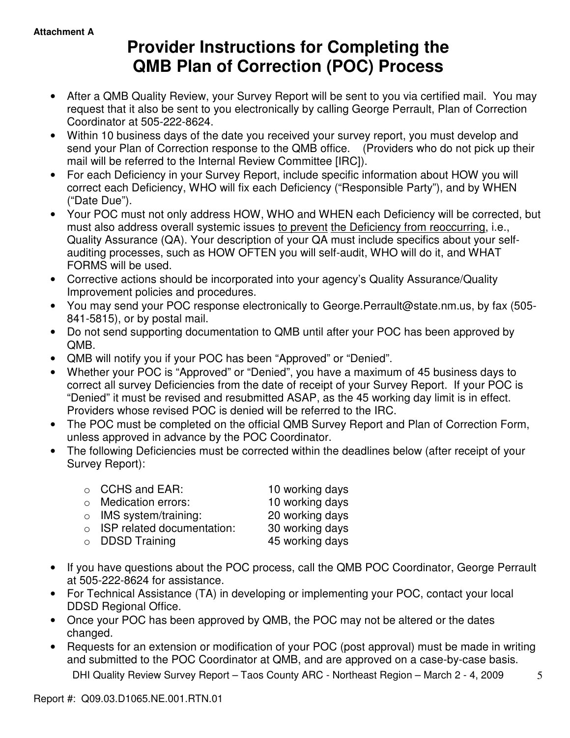# **Provider Instructions for Completing the QMB Plan of Correction (POC) Process**

- After a QMB Quality Review, your Survey Report will be sent to you via certified mail. You may request that it also be sent to you electronically by calling George Perrault, Plan of Correction Coordinator at 505-222-8624.
- Within 10 business days of the date you received your survey report, you must develop and send your Plan of Correction response to the QMB office. (Providers who do not pick up their mail will be referred to the Internal Review Committee [IRC]).
- For each Deficiency in your Survey Report, include specific information about HOW you will correct each Deficiency, WHO will fix each Deficiency ("Responsible Party"), and by WHEN ("Date Due").
- Your POC must not only address HOW, WHO and WHEN each Deficiency will be corrected, but must also address overall systemic issues to prevent the Deficiency from reoccurring, i.e., Quality Assurance (QA). Your description of your QA must include specifics about your selfauditing processes, such as HOW OFTEN you will self-audit, WHO will do it, and WHAT FORMS will be used.
- Corrective actions should be incorporated into your agency's Quality Assurance/Quality Improvement policies and procedures.
- You may send your POC response electronically to George.Perrault@state.nm.us, by fax (505- 841-5815), or by postal mail.
- Do not send supporting documentation to QMB until after your POC has been approved by QMB.
- QMB will notify you if your POC has been "Approved" or "Denied".
- Whether your POC is "Approved" or "Denied", you have a maximum of 45 business days to correct all survey Deficiencies from the date of receipt of your Survey Report. If your POC is "Denied" it must be revised and resubmitted ASAP, as the 45 working day limit is in effect. Providers whose revised POC is denied will be referred to the IRC.
- The POC must be completed on the official QMB Survey Report and Plan of Correction Form, unless approved in advance by the POC Coordinator.
- The following Deficiencies must be corrected within the deadlines below (after receipt of your Survey Report):

| $\circ$ CCHS and EAR:              | 10 working days |
|------------------------------------|-----------------|
| $\circ$ Medication errors:         | 10 working days |
| $\circ$ IMS system/training:       | 20 working days |
| $\circ$ ISP related documentation: | 30 working days |
| $\circ$ DDSD Training              | 45 working days |
|                                    |                 |

- If you have questions about the POC process, call the QMB POC Coordinator, George Perrault at 505-222-8624 for assistance.
- For Technical Assistance (TA) in developing or implementing your POC, contact your local DDSD Regional Office.
- Once your POC has been approved by QMB, the POC may not be altered or the dates changed.
- Requests for an extension or modification of your POC (post approval) must be made in writing and submitted to the POC Coordinator at QMB, and are approved on a case-by-case basis.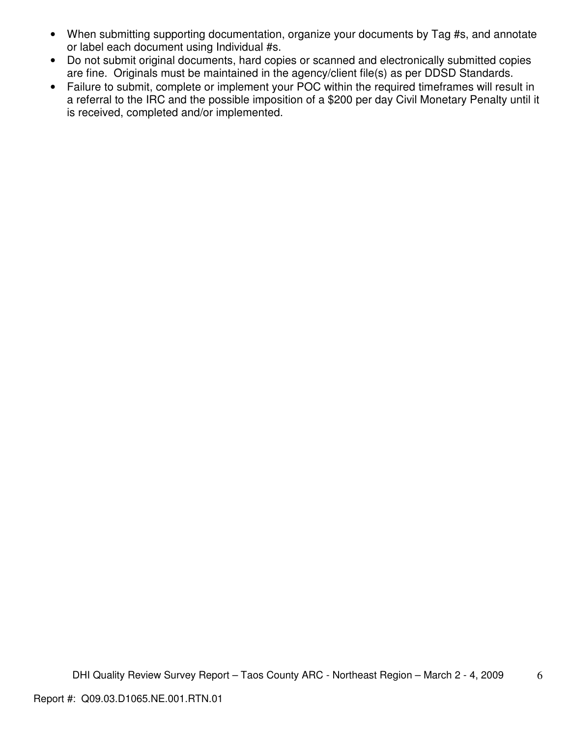- When submitting supporting documentation, organize your documents by Tag #s, and annotate or label each document using Individual #s.
- Do not submit original documents, hard copies or scanned and electronically submitted copies are fine. Originals must be maintained in the agency/client file(s) as per DDSD Standards.
- Failure to submit, complete or implement your POC within the required timeframes will result in a referral to the IRC and the possible imposition of a \$200 per day Civil Monetary Penalty until it is received, completed and/or implemented.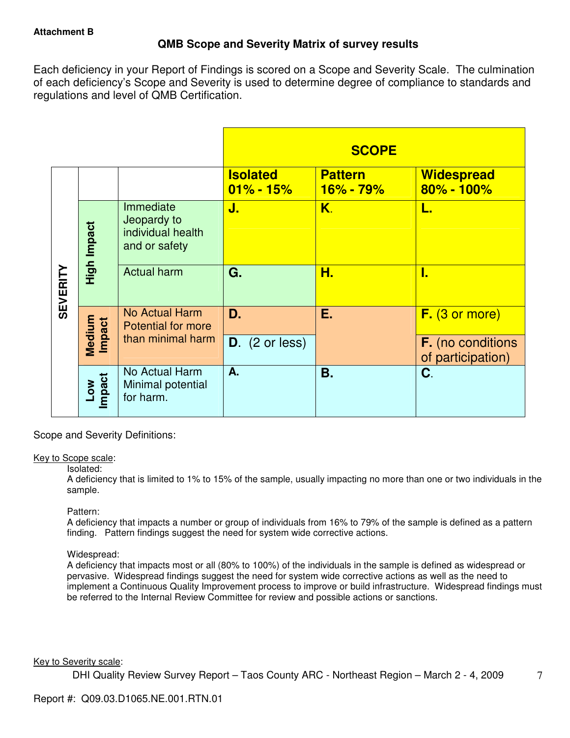# **QMB Scope and Severity Matrix of survey results**

Each deficiency in your Report of Findings is scored on a Scope and Severity Scale. The culmination of each deficiency's Scope and Severity is used to determine degree of compliance to standards and regulations and level of QMB Certification.

|                 |                           |                                                                |                                  | <b>SCOPE</b>                  |                                               |
|-----------------|---------------------------|----------------------------------------------------------------|----------------------------------|-------------------------------|-----------------------------------------------|
|                 |                           |                                                                | <b>Isolated</b><br>$01\% - 15\%$ | <b>Pattern</b><br>$16% - 79%$ | <b>Widespread</b><br>$80\% - 100\%$           |
|                 | High Impact               | Immediate<br>Jeopardy to<br>individual health<br>and or safety | J.                               | K.                            | L.                                            |
| <b>SEVERITY</b> |                           | <b>Actual harm</b>                                             | G.                               | Н.                            | I.                                            |
|                 | Medium<br>Impact          | <b>No Actual Harm</b><br><b>Potential for more</b>             | D.                               | Е.                            | $F.$ (3 or more)                              |
|                 |                           | than minimal harm                                              | $D.$ (2 or less)                 |                               | <b>F.</b> (no conditions<br>of participation) |
|                 | Impact<br>NO <sub>-</sub> | No Actual Harm<br>Minimal potential<br>for harm.               | A.                               | <b>B.</b>                     | C.                                            |

Scope and Severity Definitions:

# Key to Scope scale:

# Isolated:

A deficiency that is limited to 1% to 15% of the sample, usually impacting no more than one or two individuals in the sample.

# Pattern:

A deficiency that impacts a number or group of individuals from 16% to 79% of the sample is defined as a pattern finding. Pattern findings suggest the need for system wide corrective actions.

# Widespread:

A deficiency that impacts most or all (80% to 100%) of the individuals in the sample is defined as widespread or pervasive. Widespread findings suggest the need for system wide corrective actions as well as the need to implement a Continuous Quality Improvement process to improve or build infrastructure. Widespread findings must be referred to the Internal Review Committee for review and possible actions or sanctions.

# Key to Severity scale: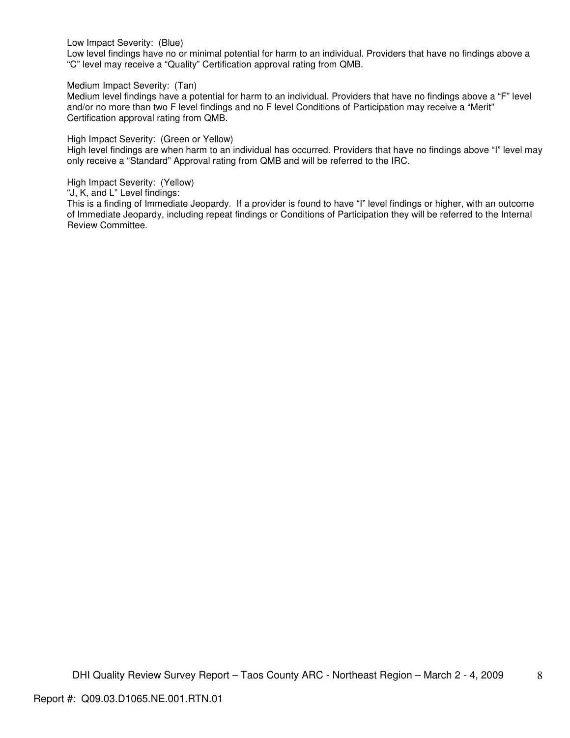Low Impact Severity: (Blue)

Low level findings have no or minimal potential for harm to an individual. Providers that have no findings above a "C" level may receive a "Quality" Certification approval rating from QMB.

Medium Impact Severity: (Tan)

Medium level findings have a potential for harm to an individual. Providers that have no findings above a "F" level and/or no more than two F level findings and no F level Conditions of Participation may receive a "Merit" Certification approval rating from QMB.

High Impact Severity: (Green or Yellow)

High level findings are when harm to an individual has occurred. Providers that have no findings above "I" level may only receive a "Standard" Approval rating from QMB and will be referred to the IRC.

High Impact Severity: (Yellow)

"J, K, and L" Level findings:

This is a finding of Immediate Jeopardy. If a provider is found to have "I" level findings or higher, with an outcome of Immediate Jeopardy, including repeat findings or Conditions of Participation they will be referred to the Internal Review Committee.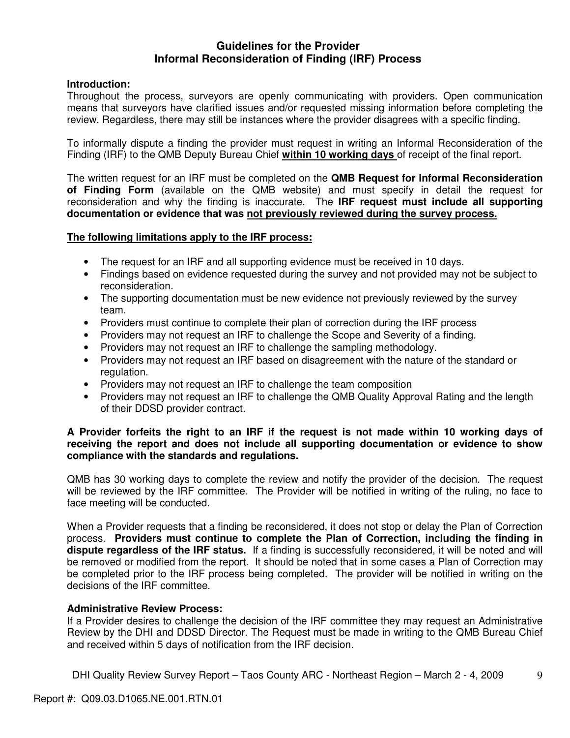# **Guidelines for the Provider Informal Reconsideration of Finding (IRF) Process**

# **Introduction:**

Throughout the process, surveyors are openly communicating with providers. Open communication means that surveyors have clarified issues and/or requested missing information before completing the review. Regardless, there may still be instances where the provider disagrees with a specific finding.

To informally dispute a finding the provider must request in writing an Informal Reconsideration of the Finding (IRF) to the QMB Deputy Bureau Chief **within 10 working days** of receipt of the final report.

The written request for an IRF must be completed on the **QMB Request for Informal Reconsideration of Finding Form** (available on the QMB website) and must specify in detail the request for reconsideration and why the finding is inaccurate. The **IRF request must include all supporting documentation or evidence that was not previously reviewed during the survey process.** 

# **The following limitations apply to the IRF process:**

- The request for an IRF and all supporting evidence must be received in 10 days.
- Findings based on evidence requested during the survey and not provided may not be subject to reconsideration.
- The supporting documentation must be new evidence not previously reviewed by the survey team.
- Providers must continue to complete their plan of correction during the IRF process
- Providers may not request an IRF to challenge the Scope and Severity of a finding.
- Providers may not request an IRF to challenge the sampling methodology.
- Providers may not request an IRF based on disagreement with the nature of the standard or regulation.
- Providers may not request an IRF to challenge the team composition
- Providers may not request an IRF to challenge the QMB Quality Approval Rating and the length of their DDSD provider contract.

# **A Provider forfeits the right to an IRF if the request is not made within 10 working days of receiving the report and does not include all supporting documentation or evidence to show compliance with the standards and regulations.**

QMB has 30 working days to complete the review and notify the provider of the decision. The request will be reviewed by the IRF committee. The Provider will be notified in writing of the ruling, no face to face meeting will be conducted.

When a Provider requests that a finding be reconsidered, it does not stop or delay the Plan of Correction process. **Providers must continue to complete the Plan of Correction, including the finding in dispute regardless of the IRF status.** If a finding is successfully reconsidered, it will be noted and will be removed or modified from the report. It should be noted that in some cases a Plan of Correction may be completed prior to the IRF process being completed. The provider will be notified in writing on the decisions of the IRF committee.

# **Administrative Review Process:**

If a Provider desires to challenge the decision of the IRF committee they may request an Administrative Review by the DHI and DDSD Director. The Request must be made in writing to the QMB Bureau Chief and received within 5 days of notification from the IRF decision.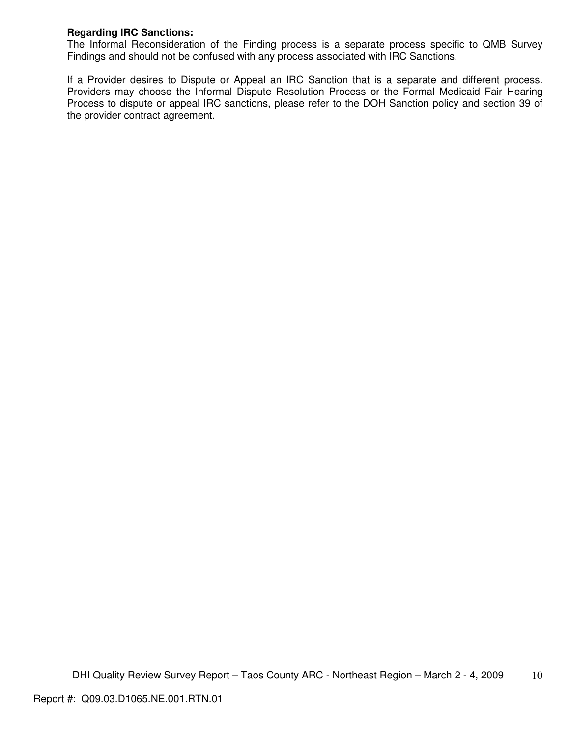# **Regarding IRC Sanctions:**

The Informal Reconsideration of the Finding process is a separate process specific to QMB Survey Findings and should not be confused with any process associated with IRC Sanctions.

If a Provider desires to Dispute or Appeal an IRC Sanction that is a separate and different process. Providers may choose the Informal Dispute Resolution Process or the Formal Medicaid Fair Hearing Process to dispute or appeal IRC sanctions, please refer to the DOH Sanction policy and section 39 of the provider contract agreement.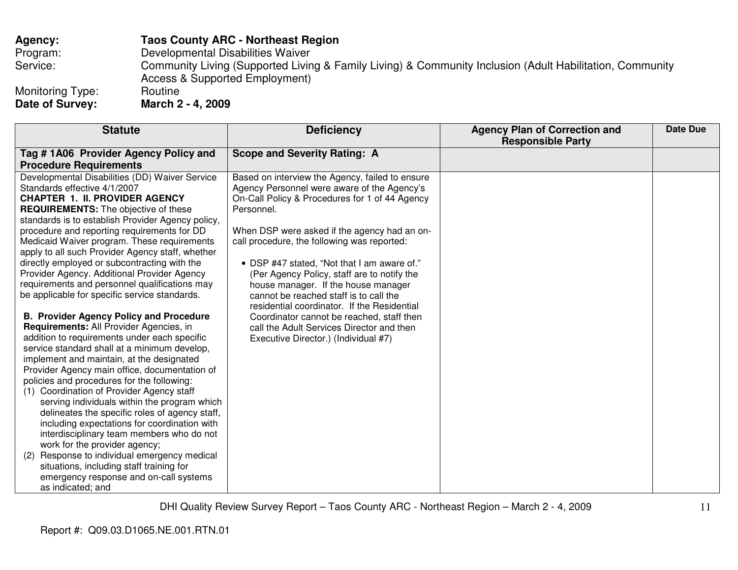# **Agency: Taos County ARC - Northeast Region**

Program: Developmental Disabilities Waiver

Service: Community Living (Supported Living & Family Living) & Community Inclusion (Adult Habilitation, Community Access & Supported Employment)

Monitoring Type: Routine<br>
Date of Survey: March 2 **Date of Survey: March 2 - 4, 2009** 

| <b>Statute</b>                                                                                                                                                                                                                                                                                                                                                                                                                                                                                                                                                                                                                                                                                                                                                                                                                                                                                                                                                                                                                                                                                                                                                                                                                                                                                                                                                     | <b>Deficiency</b>                                                                                                                                                                                                                                                                                                                                                                                                                                                                                                                                                                                                             | <b>Agency Plan of Correction and</b><br><b>Responsible Party</b> | <b>Date Due</b> |
|--------------------------------------------------------------------------------------------------------------------------------------------------------------------------------------------------------------------------------------------------------------------------------------------------------------------------------------------------------------------------------------------------------------------------------------------------------------------------------------------------------------------------------------------------------------------------------------------------------------------------------------------------------------------------------------------------------------------------------------------------------------------------------------------------------------------------------------------------------------------------------------------------------------------------------------------------------------------------------------------------------------------------------------------------------------------------------------------------------------------------------------------------------------------------------------------------------------------------------------------------------------------------------------------------------------------------------------------------------------------|-------------------------------------------------------------------------------------------------------------------------------------------------------------------------------------------------------------------------------------------------------------------------------------------------------------------------------------------------------------------------------------------------------------------------------------------------------------------------------------------------------------------------------------------------------------------------------------------------------------------------------|------------------------------------------------------------------|-----------------|
| Tag #1A06 Provider Agency Policy and<br><b>Procedure Requirements</b>                                                                                                                                                                                                                                                                                                                                                                                                                                                                                                                                                                                                                                                                                                                                                                                                                                                                                                                                                                                                                                                                                                                                                                                                                                                                                              | <b>Scope and Severity Rating: A</b>                                                                                                                                                                                                                                                                                                                                                                                                                                                                                                                                                                                           |                                                                  |                 |
| Developmental Disabilities (DD) Waiver Service<br>Standards effective 4/1/2007<br><b>CHAPTER 1. II. PROVIDER AGENCY</b><br><b>REQUIREMENTS:</b> The objective of these<br>standards is to establish Provider Agency policy,<br>procedure and reporting requirements for DD<br>Medicaid Waiver program. These requirements<br>apply to all such Provider Agency staff, whether<br>directly employed or subcontracting with the<br>Provider Agency. Additional Provider Agency<br>requirements and personnel qualifications may<br>be applicable for specific service standards.<br><b>B. Provider Agency Policy and Procedure</b><br>Requirements: All Provider Agencies, in<br>addition to requirements under each specific<br>service standard shall at a minimum develop,<br>implement and maintain, at the designated<br>Provider Agency main office, documentation of<br>policies and procedures for the following:<br>(1) Coordination of Provider Agency staff<br>serving individuals within the program which<br>delineates the specific roles of agency staff,<br>including expectations for coordination with<br>interdisciplinary team members who do not<br>work for the provider agency;<br>Response to individual emergency medical<br>(2)<br>situations, including staff training for<br>emergency response and on-call systems<br>as indicated; and | Based on interview the Agency, failed to ensure<br>Agency Personnel were aware of the Agency's<br>On-Call Policy & Procedures for 1 of 44 Agency<br>Personnel.<br>When DSP were asked if the agency had an on-<br>call procedure, the following was reported:<br>• DSP #47 stated, "Not that I am aware of."<br>(Per Agency Policy, staff are to notify the<br>house manager. If the house manager<br>cannot be reached staff is to call the<br>residential coordinator. If the Residential<br>Coordinator cannot be reached, staff then<br>call the Adult Services Director and then<br>Executive Director.) (Individual #7) |                                                                  |                 |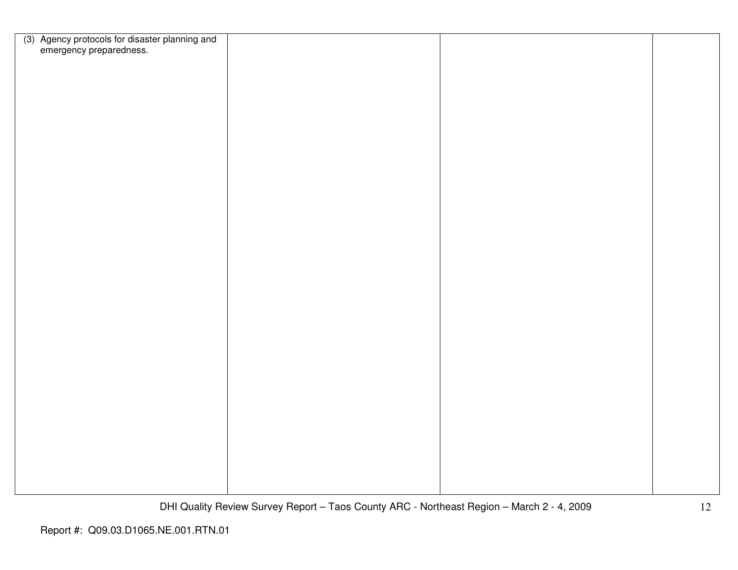| (3) Agency protocols for disaster planning and<br>emergency preparedness. |  |  |
|---------------------------------------------------------------------------|--|--|
|                                                                           |  |  |
|                                                                           |  |  |
|                                                                           |  |  |
|                                                                           |  |  |
|                                                                           |  |  |
|                                                                           |  |  |
|                                                                           |  |  |
|                                                                           |  |  |
|                                                                           |  |  |
|                                                                           |  |  |
|                                                                           |  |  |
|                                                                           |  |  |
|                                                                           |  |  |
|                                                                           |  |  |
|                                                                           |  |  |
|                                                                           |  |  |
|                                                                           |  |  |
|                                                                           |  |  |
|                                                                           |  |  |
|                                                                           |  |  |
|                                                                           |  |  |
|                                                                           |  |  |
|                                                                           |  |  |
|                                                                           |  |  |
|                                                                           |  |  |
|                                                                           |  |  |
|                                                                           |  |  |
|                                                                           |  |  |
|                                                                           |  |  |
|                                                                           |  |  |
|                                                                           |  |  |
|                                                                           |  |  |
|                                                                           |  |  |
|                                                                           |  |  |
|                                                                           |  |  |
|                                                                           |  |  |
|                                                                           |  |  |
|                                                                           |  |  |
|                                                                           |  |  |
|                                                                           |  |  |
|                                                                           |  |  |
|                                                                           |  |  |
|                                                                           |  |  |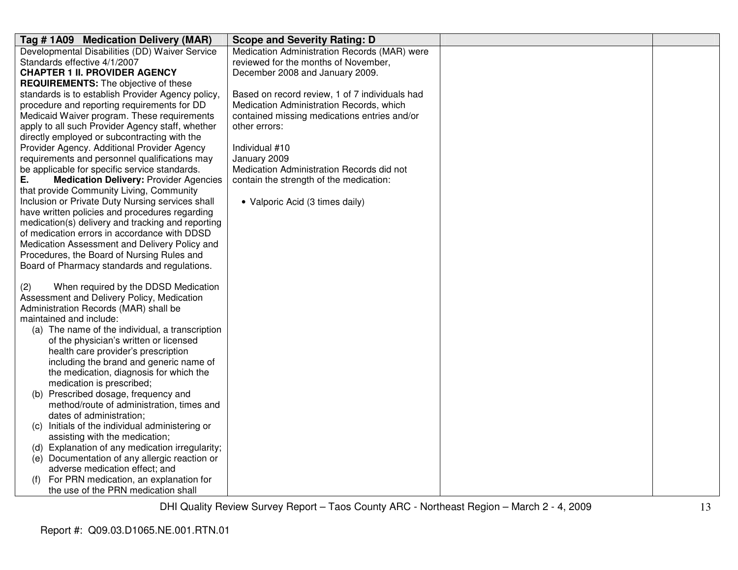| Tag #1A09 Medication Delivery (MAR)                 | <b>Scope and Severity Rating: D</b>            |  |
|-----------------------------------------------------|------------------------------------------------|--|
| Developmental Disabilities (DD) Waiver Service      | Medication Administration Records (MAR) were   |  |
| Standards effective 4/1/2007                        | reviewed for the months of November,           |  |
| <b>CHAPTER 1 II. PROVIDER AGENCY</b>                | December 2008 and January 2009.                |  |
| <b>REQUIREMENTS:</b> The objective of these         |                                                |  |
| standards is to establish Provider Agency policy,   | Based on record review, 1 of 7 individuals had |  |
| procedure and reporting requirements for DD         | Medication Administration Records, which       |  |
| Medicaid Waiver program. These requirements         | contained missing medications entries and/or   |  |
| apply to all such Provider Agency staff, whether    | other errors:                                  |  |
| directly employed or subcontracting with the        |                                                |  |
| Provider Agency. Additional Provider Agency         | Individual #10                                 |  |
| requirements and personnel qualifications may       | January 2009                                   |  |
| be applicable for specific service standards.       | Medication Administration Records did not      |  |
| Ε.<br><b>Medication Delivery: Provider Agencies</b> | contain the strength of the medication:        |  |
| that provide Community Living, Community            |                                                |  |
| Inclusion or Private Duty Nursing services shall    | • Valporic Acid (3 times daily)                |  |
| have written policies and procedures regarding      |                                                |  |
| medication(s) delivery and tracking and reporting   |                                                |  |
| of medication errors in accordance with DDSD        |                                                |  |
| Medication Assessment and Delivery Policy and       |                                                |  |
| Procedures, the Board of Nursing Rules and          |                                                |  |
| Board of Pharmacy standards and regulations.        |                                                |  |
|                                                     |                                                |  |
| When required by the DDSD Medication<br>(2)         |                                                |  |
| Assessment and Delivery Policy, Medication          |                                                |  |
| Administration Records (MAR) shall be               |                                                |  |
| maintained and include:                             |                                                |  |
| (a) The name of the individual, a transcription     |                                                |  |
| of the physician's written or licensed              |                                                |  |
| health care provider's prescription                 |                                                |  |
| including the brand and generic name of             |                                                |  |
| the medication, diagnosis for which the             |                                                |  |
| medication is prescribed;                           |                                                |  |
| (b) Prescribed dosage, frequency and                |                                                |  |
| method/route of administration, times and           |                                                |  |
| dates of administration;                            |                                                |  |
| Initials of the individual administering or<br>(C)  |                                                |  |
| assisting with the medication;                      |                                                |  |
| Explanation of any medication irregularity;<br>(d)  |                                                |  |
| (e) Documentation of any allergic reaction or       |                                                |  |
| adverse medication effect; and                      |                                                |  |
| For PRN medication, an explanation for<br>(f)       |                                                |  |
| the use of the PRN medication shall                 |                                                |  |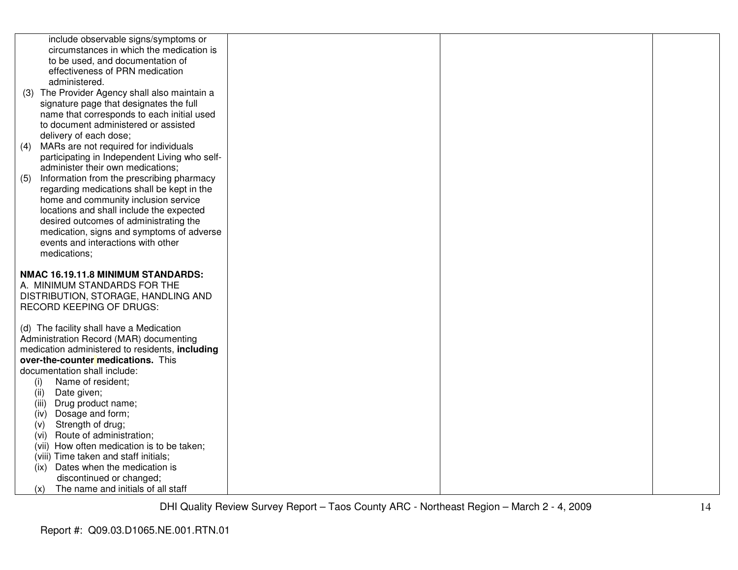| include observable signs/symptoms or<br>circumstances in which the medication is<br>to be used, and documentation of<br>effectiveness of PRN medication<br>administered.<br>(3) The Provider Agency shall also maintain a<br>signature page that designates the full<br>name that corresponds to each initial used<br>to document administered or assisted<br>delivery of each dose;<br>MARs are not required for individuals<br>(4)<br>participating in Independent Living who self-<br>administer their own medications;<br>Information from the prescribing pharmacy<br>(5)<br>regarding medications shall be kept in the<br>home and community inclusion service |  |  |
|----------------------------------------------------------------------------------------------------------------------------------------------------------------------------------------------------------------------------------------------------------------------------------------------------------------------------------------------------------------------------------------------------------------------------------------------------------------------------------------------------------------------------------------------------------------------------------------------------------------------------------------------------------------------|--|--|
| locations and shall include the expected<br>desired outcomes of administrating the<br>medication, signs and symptoms of adverse<br>events and interactions with other<br>medications;                                                                                                                                                                                                                                                                                                                                                                                                                                                                                |  |  |
| NMAC 16.19.11.8 MINIMUM STANDARDS:<br>A. MINIMUM STANDARDS FOR THE<br>DISTRIBUTION, STORAGE, HANDLING AND<br>RECORD KEEPING OF DRUGS:                                                                                                                                                                                                                                                                                                                                                                                                                                                                                                                                |  |  |
| (d) The facility shall have a Medication<br>Administration Record (MAR) documenting<br>medication administered to residents, including<br>over-the-counter medications. This<br>documentation shall include:<br>Name of resident;<br>(i)                                                                                                                                                                                                                                                                                                                                                                                                                             |  |  |
| (ii)<br>Date given;<br>(iii)<br>Drug product name;<br>Dosage and form;<br>(iv)<br>Strength of drug;<br>(v)<br>Route of administration;<br>(vi)<br>(vii) How often medication is to be taken;                                                                                                                                                                                                                                                                                                                                                                                                                                                                         |  |  |
| (viii) Time taken and staff initials;<br>Dates when the medication is<br>(ix)<br>discontinued or changed;<br>The name and initials of all staff<br>(x)                                                                                                                                                                                                                                                                                                                                                                                                                                                                                                               |  |  |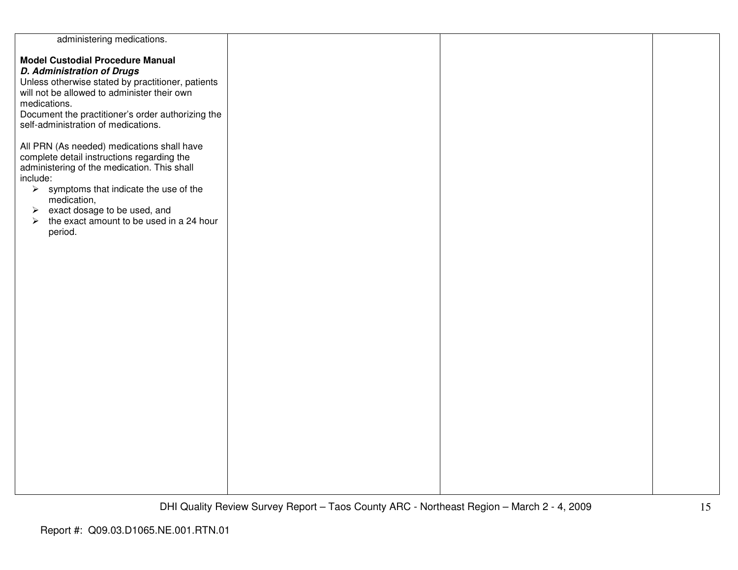| administering medications.                                        |  |  |
|-------------------------------------------------------------------|--|--|
|                                                                   |  |  |
| <b>Model Custodial Procedure Manual</b>                           |  |  |
|                                                                   |  |  |
| <b>D. Administration of Drugs</b>                                 |  |  |
| Unless otherwise stated by practitioner, patients                 |  |  |
|                                                                   |  |  |
| will not be allowed to administer their own                       |  |  |
| medications.                                                      |  |  |
|                                                                   |  |  |
| Document the practitioner's order authorizing the                 |  |  |
| self-administration of medications.                               |  |  |
|                                                                   |  |  |
|                                                                   |  |  |
| All PRN (As needed) medications shall have                        |  |  |
| complete detail instructions regarding the                        |  |  |
|                                                                   |  |  |
| administering of the medication. This shall                       |  |  |
| include:                                                          |  |  |
| $\triangleright$ symptoms that indicate the use of the            |  |  |
|                                                                   |  |  |
| medication,                                                       |  |  |
| $\triangleright$ exact dosage to be used, and                     |  |  |
|                                                                   |  |  |
| the exact amount to be used in a 24 hour<br>$\blacktriangleright$ |  |  |
| period.                                                           |  |  |
|                                                                   |  |  |
|                                                                   |  |  |
|                                                                   |  |  |
|                                                                   |  |  |
|                                                                   |  |  |
|                                                                   |  |  |
|                                                                   |  |  |
|                                                                   |  |  |
|                                                                   |  |  |
|                                                                   |  |  |
|                                                                   |  |  |
|                                                                   |  |  |
|                                                                   |  |  |
|                                                                   |  |  |
|                                                                   |  |  |
|                                                                   |  |  |
|                                                                   |  |  |
|                                                                   |  |  |
|                                                                   |  |  |
|                                                                   |  |  |
|                                                                   |  |  |
|                                                                   |  |  |
|                                                                   |  |  |
|                                                                   |  |  |
|                                                                   |  |  |
|                                                                   |  |  |
|                                                                   |  |  |
|                                                                   |  |  |
|                                                                   |  |  |
|                                                                   |  |  |
|                                                                   |  |  |
|                                                                   |  |  |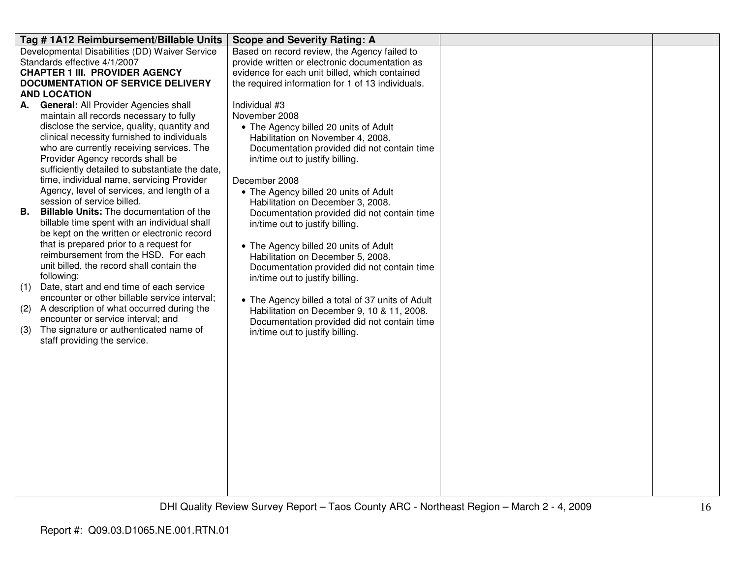| Tag #1A12 Reimbursement/Billable Units                                              | <b>Scope and Severity Rating: A</b>               |  |
|-------------------------------------------------------------------------------------|---------------------------------------------------|--|
| Developmental Disabilities (DD) Waiver Service                                      | Based on record review, the Agency failed to      |  |
| Standards effective 4/1/2007                                                        | provide written or electronic documentation as    |  |
| <b>CHAPTER 1 III. PROVIDER AGENCY</b>                                               | evidence for each unit billed, which contained    |  |
| <b>DOCUMENTATION OF SERVICE DELIVERY</b>                                            | the required information for 1 of 13 individuals. |  |
| <b>AND LOCATION</b>                                                                 |                                                   |  |
| A. General: All Provider Agencies shall                                             | Individual #3                                     |  |
| maintain all records necessary to fully                                             | November 2008                                     |  |
| disclose the service, quality, quantity and                                         | • The Agency billed 20 units of Adult             |  |
| clinical necessity furnished to individuals                                         | Habilitation on November 4, 2008.                 |  |
| who are currently receiving services. The                                           | Documentation provided did not contain time       |  |
| Provider Agency records shall be<br>sufficiently detailed to substantiate the date, | in/time out to justify billing.                   |  |
| time, individual name, servicing Provider                                           | December 2008                                     |  |
| Agency, level of services, and length of a                                          | • The Agency billed 20 units of Adult             |  |
| session of service billed.                                                          | Habilitation on December 3, 2008.                 |  |
| Billable Units: The documentation of the<br>В.                                      | Documentation provided did not contain time       |  |
| billable time spent with an individual shall                                        | in/time out to justify billing.                   |  |
| be kept on the written or electronic record                                         |                                                   |  |
| that is prepared prior to a request for                                             | • The Agency billed 20 units of Adult             |  |
| reimbursement from the HSD. For each                                                | Habilitation on December 5, 2008.                 |  |
| unit billed, the record shall contain the                                           | Documentation provided did not contain time       |  |
| following:                                                                          | in/time out to justify billing.                   |  |
| (1)<br>Date, start and end time of each service                                     |                                                   |  |
| encounter or other billable service interval;                                       | • The Agency billed a total of 37 units of Adult  |  |
| A description of what occurred during the<br>(2)                                    | Habilitation on December 9, 10 & 11, 2008.        |  |
| encounter or service interval; and                                                  | Documentation provided did not contain time       |  |
| The signature or authenticated name of<br>(3)                                       | in/time out to justify billing.                   |  |
| staff providing the service.                                                        |                                                   |  |
|                                                                                     |                                                   |  |
|                                                                                     |                                                   |  |
|                                                                                     |                                                   |  |
|                                                                                     |                                                   |  |
|                                                                                     |                                                   |  |
|                                                                                     |                                                   |  |
|                                                                                     |                                                   |  |
|                                                                                     |                                                   |  |
|                                                                                     |                                                   |  |
|                                                                                     |                                                   |  |
|                                                                                     |                                                   |  |
|                                                                                     |                                                   |  |
|                                                                                     |                                                   |  |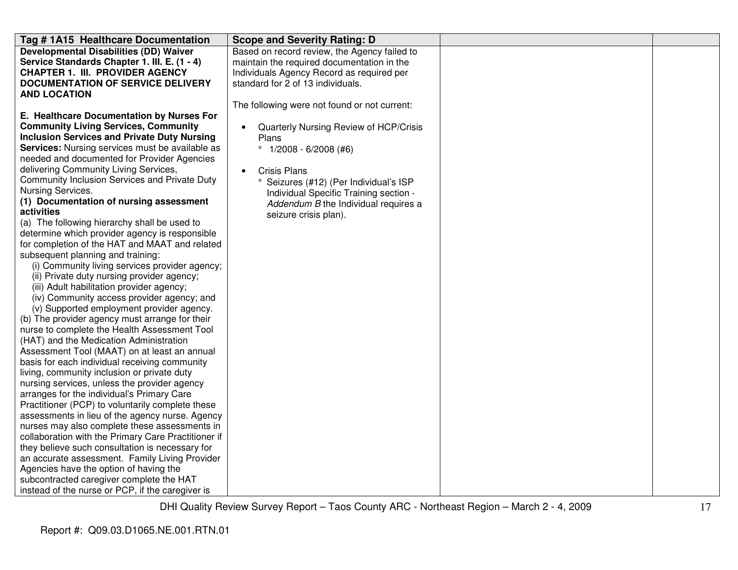| Tag #1A15 Healthcare Documentation                  | <b>Scope and Severity Rating: D</b>                 |  |
|-----------------------------------------------------|-----------------------------------------------------|--|
| <b>Developmental Disabilities (DD) Waiver</b>       | Based on record review, the Agency failed to        |  |
| Service Standards Chapter 1. III. E. (1 - 4)        | maintain the required documentation in the          |  |
| <b>CHAPTER 1. III. PROVIDER AGENCY</b>              | Individuals Agency Record as required per           |  |
| <b>DOCUMENTATION OF SERVICE DELIVERY</b>            | standard for 2 of 13 individuals.                   |  |
| <b>AND LOCATION</b>                                 |                                                     |  |
|                                                     | The following were not found or not current:        |  |
| E. Healthcare Documentation by Nurses For           |                                                     |  |
| <b>Community Living Services, Community</b>         | Quarterly Nursing Review of HCP/Crisis<br>$\bullet$ |  |
| <b>Inclusion Services and Private Duty Nursing</b>  | Plans                                               |  |
| Services: Nursing services must be available as     | $^{\circ}$ 1/2008 - 6/2008 (#6)                     |  |
| needed and documented for Provider Agencies         |                                                     |  |
| delivering Community Living Services,               | <b>Crisis Plans</b><br>$\bullet$                    |  |
| Community Inclusion Services and Private Duty       | Seizures (#12) (Per Individual's ISP                |  |
| Nursing Services.                                   | Individual Specific Training section -              |  |
| (1) Documentation of nursing assessment             | Addendum B the Individual requires a                |  |
| activities                                          | seizure crisis plan).                               |  |
| (a) The following hierarchy shall be used to        |                                                     |  |
| determine which provider agency is responsible      |                                                     |  |
| for completion of the HAT and MAAT and related      |                                                     |  |
| subsequent planning and training:                   |                                                     |  |
| (i) Community living services provider agency;      |                                                     |  |
| (ii) Private duty nursing provider agency;          |                                                     |  |
| (iii) Adult habilitation provider agency;           |                                                     |  |
| (iv) Community access provider agency; and          |                                                     |  |
| (v) Supported employment provider agency.           |                                                     |  |
| (b) The provider agency must arrange for their      |                                                     |  |
| nurse to complete the Health Assessment Tool        |                                                     |  |
| (HAT) and the Medication Administration             |                                                     |  |
| Assessment Tool (MAAT) on at least an annual        |                                                     |  |
| basis for each individual receiving community       |                                                     |  |
| living, community inclusion or private duty         |                                                     |  |
| nursing services, unless the provider agency        |                                                     |  |
| arranges for the individual's Primary Care          |                                                     |  |
| Practitioner (PCP) to voluntarily complete these    |                                                     |  |
| assessments in lieu of the agency nurse. Agency     |                                                     |  |
| nurses may also complete these assessments in       |                                                     |  |
| collaboration with the Primary Care Practitioner if |                                                     |  |
| they believe such consultation is necessary for     |                                                     |  |
| an accurate assessment. Family Living Provider      |                                                     |  |
| Agencies have the option of having the              |                                                     |  |
| subcontracted caregiver complete the HAT            |                                                     |  |
| instead of the nurse or PCP, if the caregiver is    |                                                     |  |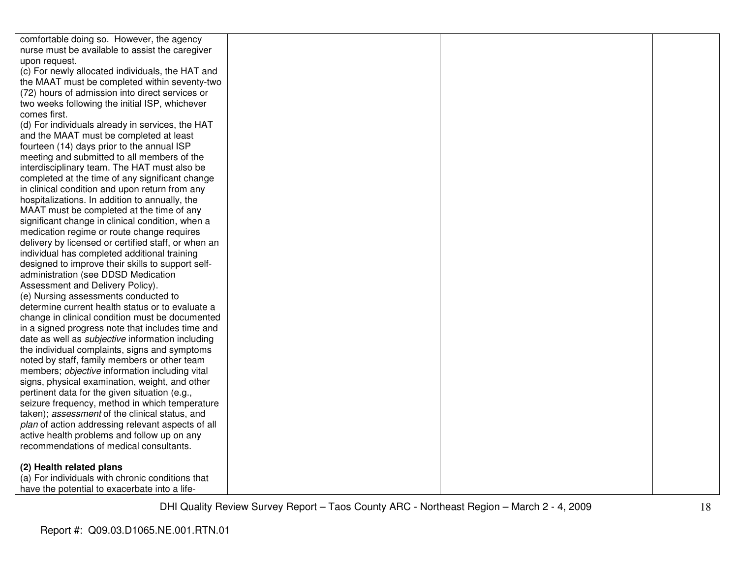| comfortable doing so. However, the agency               |  |  |
|---------------------------------------------------------|--|--|
| nurse must be available to assist the caregiver         |  |  |
| upon request.                                           |  |  |
| (c) For newly allocated individuals, the HAT and        |  |  |
| the MAAT must be completed within seventy-two           |  |  |
| (72) hours of admission into direct services or         |  |  |
| two weeks following the initial ISP, whichever          |  |  |
| comes first.                                            |  |  |
| (d) For individuals already in services, the HAT        |  |  |
| and the MAAT must be completed at least                 |  |  |
| fourteen (14) days prior to the annual ISP              |  |  |
| meeting and submitted to all members of the             |  |  |
| interdisciplinary team. The HAT must also be            |  |  |
| completed at the time of any significant change         |  |  |
| in clinical condition and upon return from any          |  |  |
| hospitalizations. In addition to annually, the          |  |  |
| MAAT must be completed at the time of any               |  |  |
| significant change in clinical condition, when a        |  |  |
| medication regime or route change requires              |  |  |
| delivery by licensed or certified staff, or when an     |  |  |
| individual has completed additional training            |  |  |
| designed to improve their skills to support self-       |  |  |
| administration (see DDSD Medication                     |  |  |
| Assessment and Delivery Policy).                        |  |  |
| (e) Nursing assessments conducted to                    |  |  |
| determine current health status or to evaluate a        |  |  |
| change in clinical condition must be documented         |  |  |
| in a signed progress note that includes time and        |  |  |
| date as well as <i>subjective</i> information including |  |  |
| the individual complaints, signs and symptoms           |  |  |
| noted by staff, family members or other team            |  |  |
| members; objective information including vital          |  |  |
| signs, physical examination, weight, and other          |  |  |
| pertinent data for the given situation (e.g.,           |  |  |
| seizure frequency, method in which temperature          |  |  |
| taken); assessment of the clinical status, and          |  |  |
| plan of action addressing relevant aspects of all       |  |  |
| active health problems and follow up on any             |  |  |
| recommendations of medical consultants.                 |  |  |
| (2) Health related plans                                |  |  |
| (a) For individuals with chronic conditions that        |  |  |
| have the potential to exacerbate into a life-           |  |  |
|                                                         |  |  |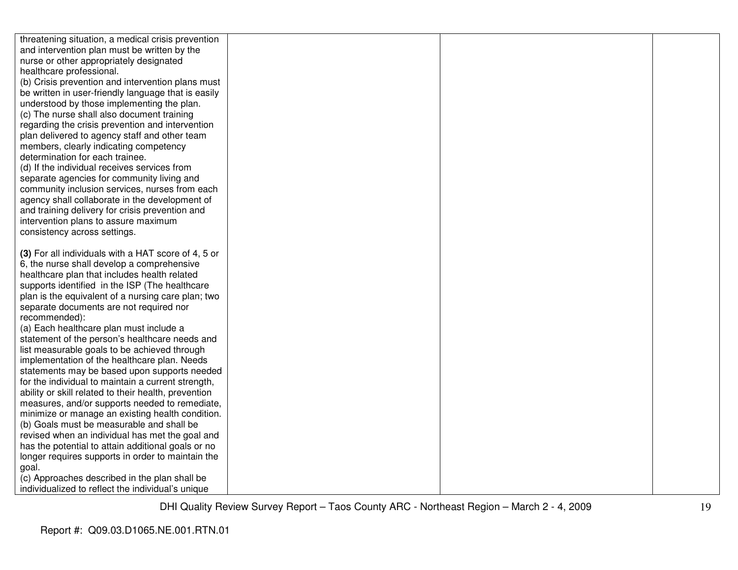| threatening situation, a medical crisis prevention                                        |  |  |
|-------------------------------------------------------------------------------------------|--|--|
| and intervention plan must be written by the                                              |  |  |
| nurse or other appropriately designated                                                   |  |  |
| healthcare professional.                                                                  |  |  |
| (b) Crisis prevention and intervention plans must                                         |  |  |
| be written in user-friendly language that is easily                                       |  |  |
| understood by those implementing the plan.                                                |  |  |
| (c) The nurse shall also document training                                                |  |  |
| regarding the crisis prevention and intervention                                          |  |  |
| plan delivered to agency staff and other team                                             |  |  |
| members, clearly indicating competency                                                    |  |  |
| determination for each trainee.                                                           |  |  |
| (d) If the individual receives services from                                              |  |  |
| separate agencies for community living and                                                |  |  |
| community inclusion services, nurses from each                                            |  |  |
| agency shall collaborate in the development of                                            |  |  |
| and training delivery for crisis prevention and                                           |  |  |
| intervention plans to assure maximum                                                      |  |  |
| consistency across settings.                                                              |  |  |
|                                                                                           |  |  |
| (3) For all individuals with a HAT score of 4, 5 or                                       |  |  |
| 6, the nurse shall develop a comprehensive                                                |  |  |
| healthcare plan that includes health related                                              |  |  |
| supports identified in the ISP (The healthcare                                            |  |  |
| plan is the equivalent of a nursing care plan; two                                        |  |  |
| separate documents are not required nor                                                   |  |  |
| recommended):                                                                             |  |  |
| (a) Each healthcare plan must include a<br>statement of the person's healthcare needs and |  |  |
| list measurable goals to be achieved through                                              |  |  |
| implementation of the healthcare plan. Needs                                              |  |  |
| statements may be based upon supports needed                                              |  |  |
| for the individual to maintain a current strength,                                        |  |  |
| ability or skill related to their health, prevention                                      |  |  |
| measures, and/or supports needed to remediate,                                            |  |  |
| minimize or manage an existing health condition.                                          |  |  |
| (b) Goals must be measurable and shall be                                                 |  |  |
| revised when an individual has met the goal and                                           |  |  |
| has the potential to attain additional goals or no                                        |  |  |
| longer requires supports in order to maintain the                                         |  |  |
| goal.                                                                                     |  |  |
| (c) Approaches described in the plan shall be                                             |  |  |
| individualized to reflect the individual's unique                                         |  |  |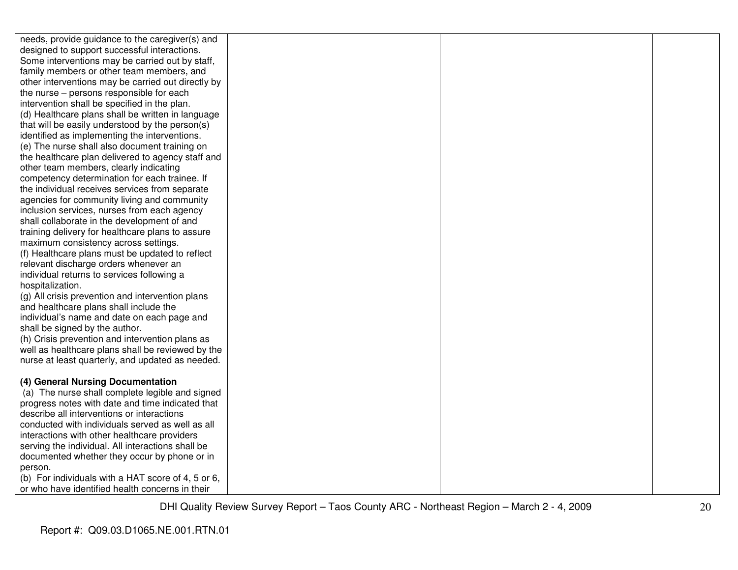| needs, provide guidance to the caregiver(s) and    |  |  |
|----------------------------------------------------|--|--|
| designed to support successful interactions.       |  |  |
| Some interventions may be carried out by staff,    |  |  |
| family members or other team members, and          |  |  |
| other interventions may be carried out directly by |  |  |
| the nurse - persons responsible for each           |  |  |
| intervention shall be specified in the plan.       |  |  |
| (d) Healthcare plans shall be written in language  |  |  |
| that will be easily understood by the person(s)    |  |  |
| identified as implementing the interventions.      |  |  |
| (e) The nurse shall also document training on      |  |  |
| the healthcare plan delivered to agency staff and  |  |  |
| other team members, clearly indicating             |  |  |
| competency determination for each trainee. If      |  |  |
| the individual receives services from separate     |  |  |
| agencies for community living and community        |  |  |
| inclusion services, nurses from each agency        |  |  |
| shall collaborate in the development of and        |  |  |
| training delivery for healthcare plans to assure   |  |  |
| maximum consistency across settings.               |  |  |
| (f) Healthcare plans must be updated to reflect    |  |  |
| relevant discharge orders whenever an              |  |  |
| individual returns to services following a         |  |  |
| hospitalization.                                   |  |  |
| (g) All crisis prevention and intervention plans   |  |  |
| and healthcare plans shall include the             |  |  |
| individual's name and date on each page and        |  |  |
| shall be signed by the author.                     |  |  |
| (h) Crisis prevention and intervention plans as    |  |  |
| well as healthcare plans shall be reviewed by the  |  |  |
| nurse at least quarterly, and updated as needed.   |  |  |
|                                                    |  |  |
| (4) General Nursing Documentation                  |  |  |
| (a) The nurse shall complete legible and signed    |  |  |
| progress notes with date and time indicated that   |  |  |
| describe all interventions or interactions         |  |  |
| conducted with individuals served as well as all   |  |  |
| interactions with other healthcare providers       |  |  |
| serving the individual. All interactions shall be  |  |  |
| documented whether they occur by phone or in       |  |  |
| person.                                            |  |  |
| (b) For individuals with a HAT score of 4, 5 or 6, |  |  |
| or who have identified health concerns in their    |  |  |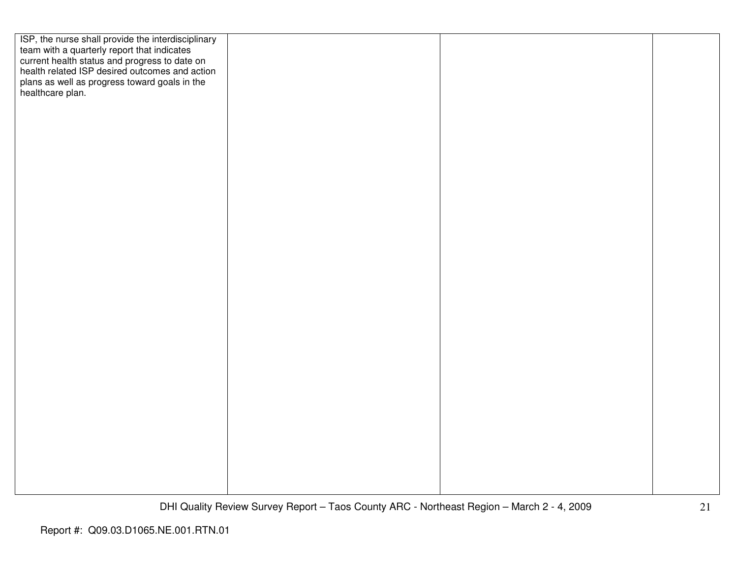| ISP, the nurse shall provide the interdisciplinary             |  |  |
|----------------------------------------------------------------|--|--|
| team with a quarterly report that indicates                    |  |  |
| current health status and progress to date on                  |  |  |
| health related ISP desired outcomes and action                 |  |  |
| plans as well as progress toward goals in the healthcare plan. |  |  |
|                                                                |  |  |
|                                                                |  |  |
|                                                                |  |  |
|                                                                |  |  |
|                                                                |  |  |
|                                                                |  |  |
|                                                                |  |  |
|                                                                |  |  |
|                                                                |  |  |
|                                                                |  |  |
|                                                                |  |  |
|                                                                |  |  |
|                                                                |  |  |
|                                                                |  |  |
|                                                                |  |  |
|                                                                |  |  |
|                                                                |  |  |
|                                                                |  |  |
|                                                                |  |  |
|                                                                |  |  |
|                                                                |  |  |
|                                                                |  |  |
|                                                                |  |  |
|                                                                |  |  |
|                                                                |  |  |
|                                                                |  |  |
|                                                                |  |  |
|                                                                |  |  |
|                                                                |  |  |
|                                                                |  |  |
|                                                                |  |  |
|                                                                |  |  |
|                                                                |  |  |
|                                                                |  |  |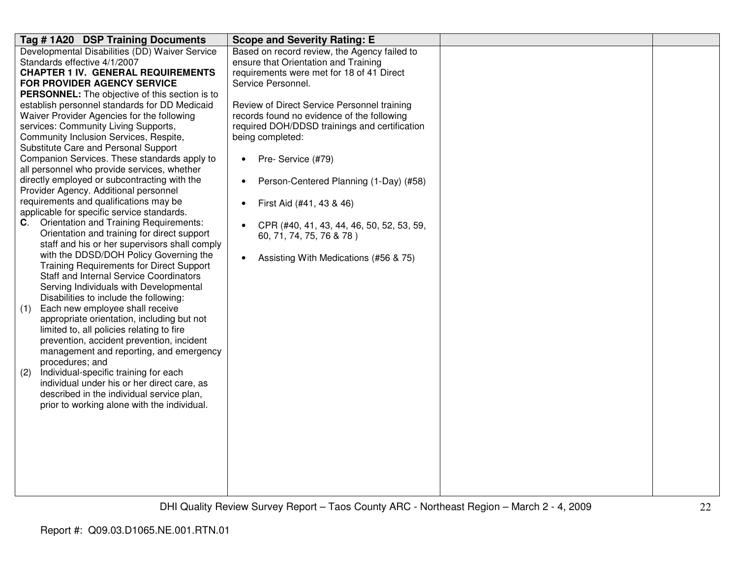| Tag #1A20 DSP Training Documents                                                            | <b>Scope and Severity Rating: E</b>                    |  |
|---------------------------------------------------------------------------------------------|--------------------------------------------------------|--|
| Developmental Disabilities (DD) Waiver Service                                              | Based on record review, the Agency failed to           |  |
| Standards effective 4/1/2007                                                                | ensure that Orientation and Training                   |  |
| <b>CHAPTER 1 IV. GENERAL REQUIREMENTS</b>                                                   | requirements were met for 18 of 41 Direct              |  |
| <b>FOR PROVIDER AGENCY SERVICE</b>                                                          | Service Personnel.                                     |  |
| <b>PERSONNEL:</b> The objective of this section is to                                       |                                                        |  |
| establish personnel standards for DD Medicaid                                               | Review of Direct Service Personnel training            |  |
| Waiver Provider Agencies for the following                                                  | records found no evidence of the following             |  |
| services: Community Living Supports,                                                        | required DOH/DDSD trainings and certification          |  |
| Community Inclusion Services, Respite,                                                      | being completed:                                       |  |
| Substitute Care and Personal Support                                                        |                                                        |  |
| Companion Services. These standards apply to<br>all personnel who provide services, whether | Pre- Service (#79)<br>$\bullet$                        |  |
| directly employed or subcontracting with the                                                | Person-Centered Planning (1-Day) (#58)<br>$\bullet$    |  |
| Provider Agency. Additional personnel                                                       |                                                        |  |
| requirements and qualifications may be                                                      | First Aid (#41, 43 & 46)<br>$\bullet$                  |  |
| applicable for specific service standards.                                                  |                                                        |  |
| <b>Orientation and Training Requirements:</b><br>C.                                         | CPR (#40, 41, 43, 44, 46, 50, 52, 53, 59,<br>$\bullet$ |  |
| Orientation and training for direct support                                                 | 60, 71, 74, 75, 76 & 78)                               |  |
| staff and his or her supervisors shall comply                                               |                                                        |  |
| with the DDSD/DOH Policy Governing the                                                      | Assisting With Medications (#56 & 75)<br>$\bullet$     |  |
| <b>Training Requirements for Direct Support</b>                                             |                                                        |  |
| <b>Staff and Internal Service Coordinators</b>                                              |                                                        |  |
| Serving Individuals with Developmental                                                      |                                                        |  |
| Disabilities to include the following:                                                      |                                                        |  |
| Each new employee shall receive<br>(1)                                                      |                                                        |  |
| appropriate orientation, including but not                                                  |                                                        |  |
| limited to, all policies relating to fire                                                   |                                                        |  |
| prevention, accident prevention, incident                                                   |                                                        |  |
| management and reporting, and emergency                                                     |                                                        |  |
| procedures; and                                                                             |                                                        |  |
| Individual-specific training for each<br>(2)                                                |                                                        |  |
| individual under his or her direct care, as                                                 |                                                        |  |
| described in the individual service plan,                                                   |                                                        |  |
| prior to working alone with the individual.                                                 |                                                        |  |
|                                                                                             |                                                        |  |
|                                                                                             |                                                        |  |
|                                                                                             |                                                        |  |
|                                                                                             |                                                        |  |
|                                                                                             |                                                        |  |
|                                                                                             |                                                        |  |
|                                                                                             |                                                        |  |
|                                                                                             |                                                        |  |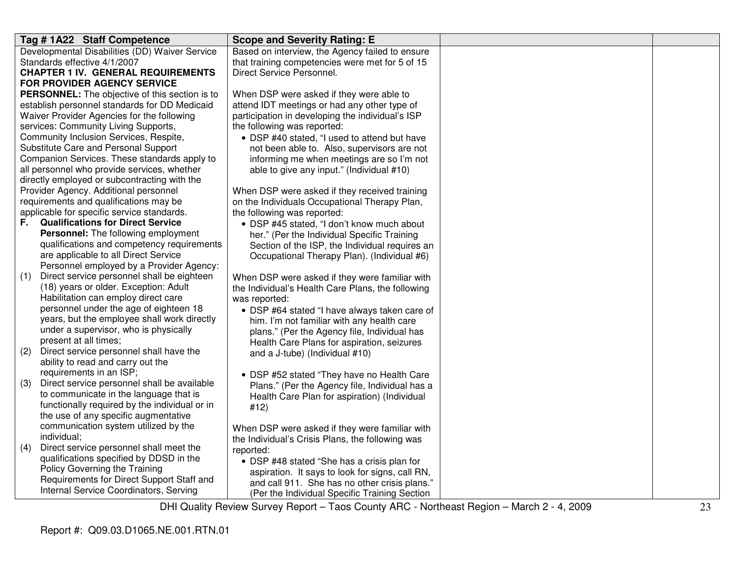|     | Tag # 1A22 Staff Competence                    | <b>Scope and Severity Rating: E</b>               |
|-----|------------------------------------------------|---------------------------------------------------|
|     | Developmental Disabilities (DD) Waiver Service | Based on interview, the Agency failed to ensure   |
|     | Standards effective 4/1/2007                   | that training competencies were met for 5 of 15   |
|     | <b>CHAPTER 1 IV. GENERAL REQUIREMENTS</b>      | Direct Service Personnel.                         |
|     | FOR PROVIDER AGENCY SERVICE                    |                                                   |
|     | PERSONNEL: The objective of this section is to | When DSP were asked if they were able to          |
|     | establish personnel standards for DD Medicaid  | attend IDT meetings or had any other type of      |
|     | Waiver Provider Agencies for the following     | participation in developing the individual's ISP  |
|     | services: Community Living Supports,           | the following was reported:                       |
|     | Community Inclusion Services, Respite,         | • DSP #40 stated, "I used to attend but have      |
|     | Substitute Care and Personal Support           | not been able to. Also, supervisors are not       |
|     | Companion Services. These standards apply to   | informing me when meetings are so I'm not         |
|     | all personnel who provide services, whether    | able to give any input." (Individual #10)         |
|     | directly employed or subcontracting with the   |                                                   |
|     | Provider Agency. Additional personnel          | When DSP were asked if they received training     |
|     | requirements and qualifications may be         | on the Individuals Occupational Therapy Plan,     |
|     | applicable for specific service standards.     | the following was reported:                       |
|     | <b>F.</b> Qualifications for Direct Service    | • DSP #45 stated, "I don't know much about        |
|     | Personnel: The following employment            | her." (Per the Individual Specific Training       |
|     | qualifications and competency requirements     | Section of the ISP, the Individual requires an    |
|     | are applicable to all Direct Service           | Occupational Therapy Plan). (Individual #6)       |
|     | Personnel employed by a Provider Agency:       |                                                   |
| (1) | Direct service personnel shall be eighteen     | When DSP were asked if they were familiar with    |
|     | (18) years or older. Exception: Adult          | the Individual's Health Care Plans, the following |
|     | Habilitation can employ direct care            | was reported:                                     |
|     | personnel under the age of eighteen 18         | • DSP #64 stated "I have always taken care of     |
|     | years, but the employee shall work directly    | him. I'm not familiar with any health care        |
|     | under a supervisor, who is physically          | plans." (Per the Agency file, Individual has      |
|     | present at all times;                          | Health Care Plans for aspiration, seizures        |
| (2) | Direct service personnel shall have the        | and a J-tube) (Individual #10)                    |
|     | ability to read and carry out the              |                                                   |
|     | requirements in an ISP;                        | • DSP #52 stated "They have no Health Care        |
| (3) | Direct service personnel shall be available    | Plans." (Per the Agency file, Individual has a    |
|     | to communicate in the language that is         | Health Care Plan for aspiration) (Individual      |
|     | functionally required by the individual or in  | #12)                                              |
|     | the use of any specific augmentative           |                                                   |
|     | communication system utilized by the           | When DSP were asked if they were familiar with    |
|     | individual;                                    | the Individual's Crisis Plans, the following was  |
| (4) | Direct service personnel shall meet the        | reported:                                         |
|     | qualifications specified by DDSD in the        | • DSP #48 stated "She has a crisis plan for       |
|     | Policy Governing the Training                  | aspiration. It says to look for signs, call RN,   |
|     | Requirements for Direct Support Staff and      | and call 911. She has no other crisis plans."     |
|     | Internal Service Coordinators, Serving         | (Per the Individual Specific Training Section     |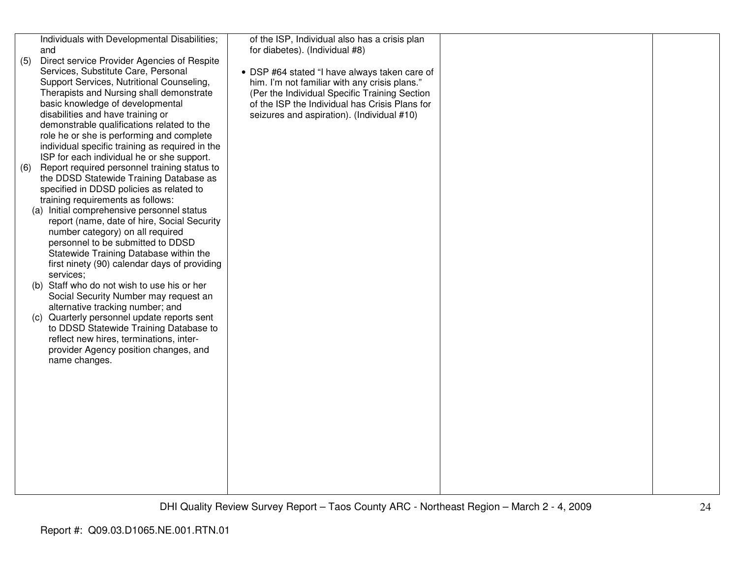| (5)<br>(6) | Individuals with Developmental Disabilities;<br>and<br>Direct service Provider Agencies of Respite<br>Services, Substitute Care, Personal<br>Support Services, Nutritional Counseling,<br>Therapists and Nursing shall demonstrate<br>basic knowledge of developmental<br>disabilities and have training or<br>demonstrable qualifications related to the<br>role he or she is performing and complete<br>individual specific training as required in the<br>ISP for each individual he or she support.<br>Report required personnel training status to<br>the DDSD Statewide Training Database as<br>specified in DDSD policies as related to<br>training requirements as follows:<br>(a) Initial comprehensive personnel status<br>report (name, date of hire, Social Security<br>number category) on all required<br>personnel to be submitted to DDSD<br>Statewide Training Database within the<br>first ninety (90) calendar days of providing<br>services;<br>Staff who do not wish to use his or her<br>(b)<br>Social Security Number may request an<br>alternative tracking number; and<br>(c) Quarterly personnel update reports sent<br>to DDSD Statewide Training Database to<br>reflect new hires, terminations, inter-<br>provider Agency position changes, and<br>name changes. | of the ISP, Individual also has a crisis plan<br>for diabetes). (Individual #8)<br>• DSP #64 stated "I have always taken care of<br>him. I'm not familiar with any crisis plans."<br>(Per the Individual Specific Training Section<br>of the ISP the Individual has Crisis Plans for<br>seizures and aspiration). (Individual #10) |  |
|------------|-----------------------------------------------------------------------------------------------------------------------------------------------------------------------------------------------------------------------------------------------------------------------------------------------------------------------------------------------------------------------------------------------------------------------------------------------------------------------------------------------------------------------------------------------------------------------------------------------------------------------------------------------------------------------------------------------------------------------------------------------------------------------------------------------------------------------------------------------------------------------------------------------------------------------------------------------------------------------------------------------------------------------------------------------------------------------------------------------------------------------------------------------------------------------------------------------------------------------------------------------------------------------------------------------|------------------------------------------------------------------------------------------------------------------------------------------------------------------------------------------------------------------------------------------------------------------------------------------------------------------------------------|--|
|            |                                                                                                                                                                                                                                                                                                                                                                                                                                                                                                                                                                                                                                                                                                                                                                                                                                                                                                                                                                                                                                                                                                                                                                                                                                                                                               |                                                                                                                                                                                                                                                                                                                                    |  |
|            |                                                                                                                                                                                                                                                                                                                                                                                                                                                                                                                                                                                                                                                                                                                                                                                                                                                                                                                                                                                                                                                                                                                                                                                                                                                                                               |                                                                                                                                                                                                                                                                                                                                    |  |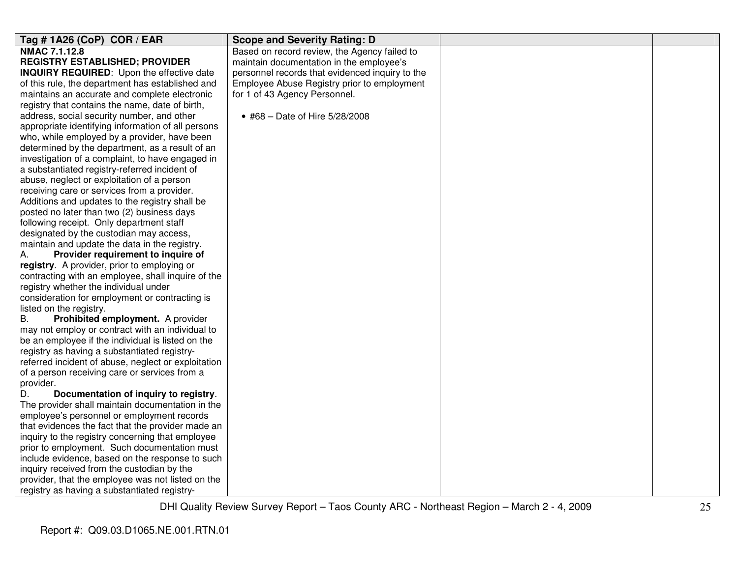| Tag #1A26 (CoP) COR / EAR                                                                                                                                                                                                                                                                                                                                                                                                                                                                                                                                                                                                                                                         | <b>Scope and Severity Rating: D</b>             |  |
|-----------------------------------------------------------------------------------------------------------------------------------------------------------------------------------------------------------------------------------------------------------------------------------------------------------------------------------------------------------------------------------------------------------------------------------------------------------------------------------------------------------------------------------------------------------------------------------------------------------------------------------------------------------------------------------|-------------------------------------------------|--|
| NMAC 7.1.12.8                                                                                                                                                                                                                                                                                                                                                                                                                                                                                                                                                                                                                                                                     | Based on record review, the Agency failed to    |  |
| <b>REGISTRY ESTABLISHED; PROVIDER</b>                                                                                                                                                                                                                                                                                                                                                                                                                                                                                                                                                                                                                                             | maintain documentation in the employee's        |  |
| <b>INQUIRY REQUIRED:</b> Upon the effective date                                                                                                                                                                                                                                                                                                                                                                                                                                                                                                                                                                                                                                  | personnel records that evidenced inquiry to the |  |
| of this rule, the department has established and                                                                                                                                                                                                                                                                                                                                                                                                                                                                                                                                                                                                                                  | Employee Abuse Registry prior to employment     |  |
| maintains an accurate and complete electronic                                                                                                                                                                                                                                                                                                                                                                                                                                                                                                                                                                                                                                     | for 1 of 43 Agency Personnel.                   |  |
| registry that contains the name, date of birth,                                                                                                                                                                                                                                                                                                                                                                                                                                                                                                                                                                                                                                   |                                                 |  |
| address, social security number, and other                                                                                                                                                                                                                                                                                                                                                                                                                                                                                                                                                                                                                                        | • #68 - Date of Hire 5/28/2008                  |  |
| appropriate identifying information of all persons                                                                                                                                                                                                                                                                                                                                                                                                                                                                                                                                                                                                                                |                                                 |  |
| who, while employed by a provider, have been                                                                                                                                                                                                                                                                                                                                                                                                                                                                                                                                                                                                                                      |                                                 |  |
| determined by the department, as a result of an                                                                                                                                                                                                                                                                                                                                                                                                                                                                                                                                                                                                                                   |                                                 |  |
| investigation of a complaint, to have engaged in                                                                                                                                                                                                                                                                                                                                                                                                                                                                                                                                                                                                                                  |                                                 |  |
| a substantiated registry-referred incident of                                                                                                                                                                                                                                                                                                                                                                                                                                                                                                                                                                                                                                     |                                                 |  |
| abuse, neglect or exploitation of a person                                                                                                                                                                                                                                                                                                                                                                                                                                                                                                                                                                                                                                        |                                                 |  |
| receiving care or services from a provider.                                                                                                                                                                                                                                                                                                                                                                                                                                                                                                                                                                                                                                       |                                                 |  |
| Additions and updates to the registry shall be                                                                                                                                                                                                                                                                                                                                                                                                                                                                                                                                                                                                                                    |                                                 |  |
| posted no later than two (2) business days                                                                                                                                                                                                                                                                                                                                                                                                                                                                                                                                                                                                                                        |                                                 |  |
| following receipt. Only department staff                                                                                                                                                                                                                                                                                                                                                                                                                                                                                                                                                                                                                                          |                                                 |  |
| designated by the custodian may access,                                                                                                                                                                                                                                                                                                                                                                                                                                                                                                                                                                                                                                           |                                                 |  |
| maintain and update the data in the registry.                                                                                                                                                                                                                                                                                                                                                                                                                                                                                                                                                                                                                                     |                                                 |  |
| Provider requirement to inquire of<br>А.                                                                                                                                                                                                                                                                                                                                                                                                                                                                                                                                                                                                                                          |                                                 |  |
| registry. A provider, prior to employing or                                                                                                                                                                                                                                                                                                                                                                                                                                                                                                                                                                                                                                       |                                                 |  |
| contracting with an employee, shall inquire of the                                                                                                                                                                                                                                                                                                                                                                                                                                                                                                                                                                                                                                |                                                 |  |
| registry whether the individual under                                                                                                                                                                                                                                                                                                                                                                                                                                                                                                                                                                                                                                             |                                                 |  |
| consideration for employment or contracting is                                                                                                                                                                                                                                                                                                                                                                                                                                                                                                                                                                                                                                    |                                                 |  |
| listed on the registry.                                                                                                                                                                                                                                                                                                                                                                                                                                                                                                                                                                                                                                                           |                                                 |  |
| <b>B.</b><br>Prohibited employment. A provider                                                                                                                                                                                                                                                                                                                                                                                                                                                                                                                                                                                                                                    |                                                 |  |
| may not employ or contract with an individual to                                                                                                                                                                                                                                                                                                                                                                                                                                                                                                                                                                                                                                  |                                                 |  |
| be an employee if the individual is listed on the                                                                                                                                                                                                                                                                                                                                                                                                                                                                                                                                                                                                                                 |                                                 |  |
|                                                                                                                                                                                                                                                                                                                                                                                                                                                                                                                                                                                                                                                                                   |                                                 |  |
|                                                                                                                                                                                                                                                                                                                                                                                                                                                                                                                                                                                                                                                                                   |                                                 |  |
|                                                                                                                                                                                                                                                                                                                                                                                                                                                                                                                                                                                                                                                                                   |                                                 |  |
|                                                                                                                                                                                                                                                                                                                                                                                                                                                                                                                                                                                                                                                                                   |                                                 |  |
|                                                                                                                                                                                                                                                                                                                                                                                                                                                                                                                                                                                                                                                                                   |                                                 |  |
|                                                                                                                                                                                                                                                                                                                                                                                                                                                                                                                                                                                                                                                                                   |                                                 |  |
|                                                                                                                                                                                                                                                                                                                                                                                                                                                                                                                                                                                                                                                                                   |                                                 |  |
|                                                                                                                                                                                                                                                                                                                                                                                                                                                                                                                                                                                                                                                                                   |                                                 |  |
|                                                                                                                                                                                                                                                                                                                                                                                                                                                                                                                                                                                                                                                                                   |                                                 |  |
|                                                                                                                                                                                                                                                                                                                                                                                                                                                                                                                                                                                                                                                                                   |                                                 |  |
|                                                                                                                                                                                                                                                                                                                                                                                                                                                                                                                                                                                                                                                                                   |                                                 |  |
|                                                                                                                                                                                                                                                                                                                                                                                                                                                                                                                                                                                                                                                                                   |                                                 |  |
|                                                                                                                                                                                                                                                                                                                                                                                                                                                                                                                                                                                                                                                                                   |                                                 |  |
| registry as having a substantiated registry-<br>referred incident of abuse, neglect or exploitation<br>of a person receiving care or services from a<br>provider.<br>D.<br>Documentation of inquiry to registry.<br>The provider shall maintain documentation in the<br>employee's personnel or employment records<br>that evidences the fact that the provider made an<br>inquiry to the registry concerning that employee<br>prior to employment. Such documentation must<br>include evidence, based on the response to such<br>inquiry received from the custodian by the<br>provider, that the employee was not listed on the<br>registry as having a substantiated registry- |                                                 |  |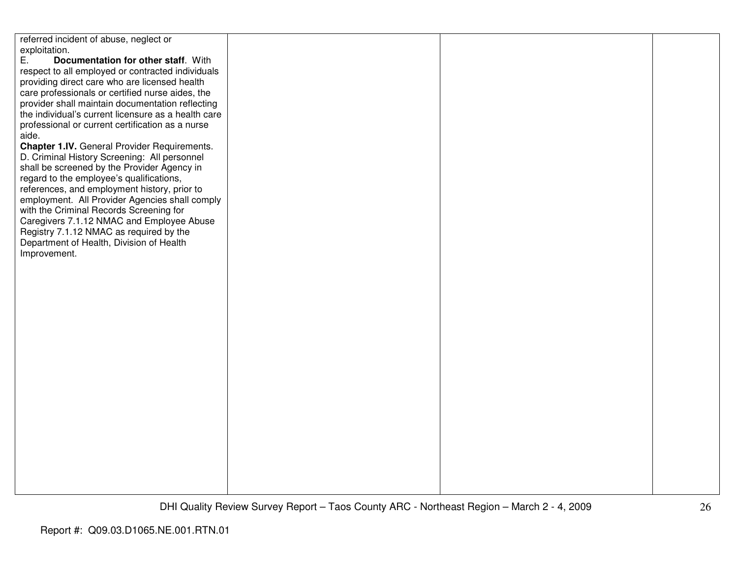referred incident of abuse, neglect or exploitation.<br>E. Doc E. **Documentation for other staff**. With respect to all employed or contracted individuals providing direct care who are licensed health care professionals or certified nurse aides, the provider shall maintain documentation reflecting the individual's current licensure as a health careprofessional or current certification as a nurse aide. **Chapter 1.IV.** General Provider Requirements. D. Criminal History Screening: All personnel shall be screened by the Provider Agency in regard to the employee's qualifications, references, and employment history, prior to employment. All Provider Agencies shall comply with the Criminal Records Screening for Caregivers 7.1.12 NMAC and Employee Abuse Registry 7.1.12 NMAC as required by the Department of Health, Division of Health Improvement.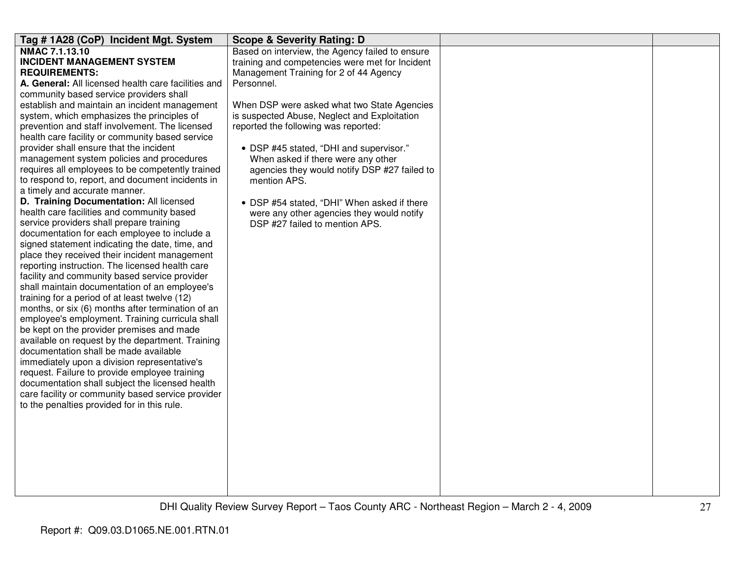| Tag #1A28 (CoP) Incident Mgt. System                | <b>Scope &amp; Severity Rating: D</b>           |  |
|-----------------------------------------------------|-------------------------------------------------|--|
| NMAC 7.1.13.10                                      | Based on interview, the Agency failed to ensure |  |
| <b>INCIDENT MANAGEMENT SYSTEM</b>                   | training and competencies were met for Incident |  |
| <b>REQUIREMENTS:</b>                                | Management Training for 2 of 44 Agency          |  |
| A. General: All licensed health care facilities and | Personnel.                                      |  |
| community based service providers shall             |                                                 |  |
| establish and maintain an incident management       | When DSP were asked what two State Agencies     |  |
| system, which emphasizes the principles of          | is suspected Abuse, Neglect and Exploitation    |  |
| prevention and staff involvement. The licensed      | reported the following was reported:            |  |
| health care facility or community based service     |                                                 |  |
| provider shall ensure that the incident             | • DSP #45 stated, "DHI and supervisor."         |  |
| management system policies and procedures           | When asked if there were any other              |  |
| requires all employees to be competently trained    | agencies they would notify DSP #27 failed to    |  |
| to respond to, report, and document incidents in    | mention APS.                                    |  |
| a timely and accurate manner.                       |                                                 |  |
| D. Training Documentation: All licensed             | • DSP #54 stated, "DHI" When asked if there     |  |
| health care facilities and community based          | were any other agencies they would notify       |  |
| service providers shall prepare training            | DSP #27 failed to mention APS.                  |  |
| documentation for each employee to include a        |                                                 |  |
| signed statement indicating the date, time, and     |                                                 |  |
| place they received their incident management       |                                                 |  |
| reporting instruction. The licensed health care     |                                                 |  |
| facility and community based service provider       |                                                 |  |
| shall maintain documentation of an employee's       |                                                 |  |
| training for a period of at least twelve (12)       |                                                 |  |
| months, or six (6) months after termination of an   |                                                 |  |
| employee's employment. Training curricula shall     |                                                 |  |
| be kept on the provider premises and made           |                                                 |  |
| available on request by the department. Training    |                                                 |  |
| documentation shall be made available               |                                                 |  |
| immediately upon a division representative's        |                                                 |  |
| request. Failure to provide employee training       |                                                 |  |
| documentation shall subject the licensed health     |                                                 |  |
| care facility or community based service provider   |                                                 |  |
| to the penalties provided for in this rule.         |                                                 |  |
|                                                     |                                                 |  |
|                                                     |                                                 |  |
|                                                     |                                                 |  |
|                                                     |                                                 |  |
|                                                     |                                                 |  |
|                                                     |                                                 |  |
|                                                     |                                                 |  |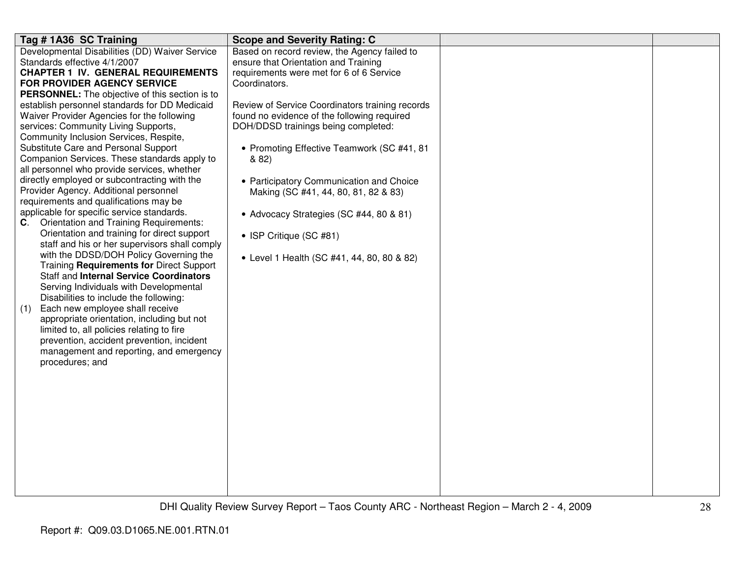| Tag #1A36 SC Training                                 | <b>Scope and Severity Rating: C</b>             |  |
|-------------------------------------------------------|-------------------------------------------------|--|
| Developmental Disabilities (DD) Waiver Service        | Based on record review, the Agency failed to    |  |
| Standards effective 4/1/2007                          | ensure that Orientation and Training            |  |
| <b>CHAPTER 1 IV. GENERAL REQUIREMENTS</b>             | requirements were met for 6 of 6 Service        |  |
| FOR PROVIDER AGENCY SERVICE                           | Coordinators.                                   |  |
| <b>PERSONNEL:</b> The objective of this section is to |                                                 |  |
| establish personnel standards for DD Medicaid         | Review of Service Coordinators training records |  |
| Waiver Provider Agencies for the following            | found no evidence of the following required     |  |
| services: Community Living Supports,                  | DOH/DDSD trainings being completed:             |  |
| Community Inclusion Services, Respite,                |                                                 |  |
| Substitute Care and Personal Support                  | • Promoting Effective Teamwork (SC #41, 81      |  |
| Companion Services. These standards apply to          | & 82)                                           |  |
| all personnel who provide services, whether           |                                                 |  |
| directly employed or subcontracting with the          | • Participatory Communication and Choice        |  |
| Provider Agency. Additional personnel                 | Making (SC #41, 44, 80, 81, 82 & 83)            |  |
| requirements and qualifications may be                |                                                 |  |
| applicable for specific service standards.            | • Advocacy Strategies (SC #44, 80 & 81)         |  |
| C. Orientation and Training Requirements:             |                                                 |  |
| Orientation and training for direct support           | • ISP Critique (SC #81)                         |  |
| staff and his or her supervisors shall comply         |                                                 |  |
| with the DDSD/DOH Policy Governing the                | • Level 1 Health (SC #41, 44, 80, 80 & 82)      |  |
| Training Requirements for Direct Support              |                                                 |  |
| Staff and Internal Service Coordinators               |                                                 |  |
| Serving Individuals with Developmental                |                                                 |  |
| Disabilities to include the following:                |                                                 |  |
| Each new employee shall receive<br>(1)                |                                                 |  |
| appropriate orientation, including but not            |                                                 |  |
| limited to, all policies relating to fire             |                                                 |  |
| prevention, accident prevention, incident             |                                                 |  |
| management and reporting, and emergency               |                                                 |  |
| procedures; and                                       |                                                 |  |
|                                                       |                                                 |  |
|                                                       |                                                 |  |
|                                                       |                                                 |  |
|                                                       |                                                 |  |
|                                                       |                                                 |  |
|                                                       |                                                 |  |
|                                                       |                                                 |  |
|                                                       |                                                 |  |
|                                                       |                                                 |  |
|                                                       |                                                 |  |
|                                                       |                                                 |  |
|                                                       |                                                 |  |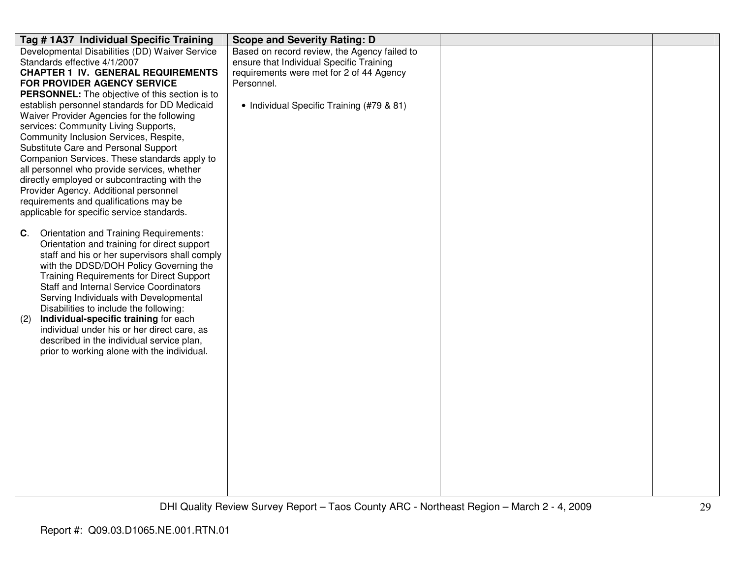| Tag #1A37 Individual Specific Training                                                      | <b>Scope and Severity Rating: D</b>          |  |
|---------------------------------------------------------------------------------------------|----------------------------------------------|--|
| Developmental Disabilities (DD) Waiver Service                                              | Based on record review, the Agency failed to |  |
| Standards effective 4/1/2007                                                                | ensure that Individual Specific Training     |  |
| <b>CHAPTER 1 IV. GENERAL REQUIREMENTS</b>                                                   | requirements were met for 2 of 44 Agency     |  |
| FOR PROVIDER AGENCY SERVICE                                                                 | Personnel.                                   |  |
| PERSONNEL: The objective of this section is to                                              |                                              |  |
| establish personnel standards for DD Medicaid<br>Waiver Provider Agencies for the following | • Individual Specific Training (#79 & 81)    |  |
| services: Community Living Supports,                                                        |                                              |  |
| Community Inclusion Services, Respite,                                                      |                                              |  |
| Substitute Care and Personal Support                                                        |                                              |  |
| Companion Services. These standards apply to                                                |                                              |  |
| all personnel who provide services, whether                                                 |                                              |  |
| directly employed or subcontracting with the                                                |                                              |  |
| Provider Agency. Additional personnel                                                       |                                              |  |
| requirements and qualifications may be                                                      |                                              |  |
| applicable for specific service standards.                                                  |                                              |  |
|                                                                                             |                                              |  |
| Orientation and Training Requirements:<br>C.                                                |                                              |  |
| Orientation and training for direct support                                                 |                                              |  |
| staff and his or her supervisors shall comply<br>with the DDSD/DOH Policy Governing the     |                                              |  |
| <b>Training Requirements for Direct Support</b>                                             |                                              |  |
| <b>Staff and Internal Service Coordinators</b>                                              |                                              |  |
| Serving Individuals with Developmental                                                      |                                              |  |
| Disabilities to include the following:                                                      |                                              |  |
| Individual-specific training for each<br>(2)                                                |                                              |  |
| individual under his or her direct care, as                                                 |                                              |  |
| described in the individual service plan,                                                   |                                              |  |
| prior to working alone with the individual.                                                 |                                              |  |
|                                                                                             |                                              |  |
|                                                                                             |                                              |  |
|                                                                                             |                                              |  |
|                                                                                             |                                              |  |
|                                                                                             |                                              |  |
|                                                                                             |                                              |  |
|                                                                                             |                                              |  |
|                                                                                             |                                              |  |
|                                                                                             |                                              |  |
|                                                                                             |                                              |  |
|                                                                                             |                                              |  |
|                                                                                             |                                              |  |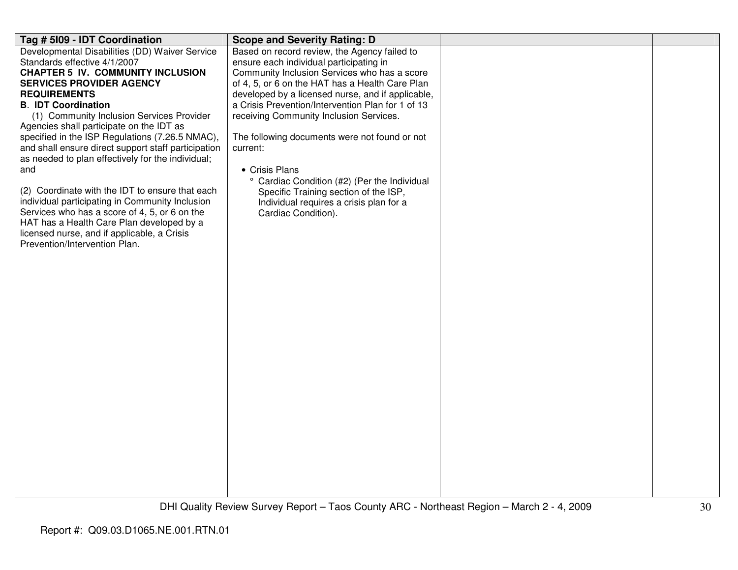| Tag # 5109 - IDT Coordination                       | <b>Scope and Severity Rating: D</b>               |  |
|-----------------------------------------------------|---------------------------------------------------|--|
| Developmental Disabilities (DD) Waiver Service      | Based on record review, the Agency failed to      |  |
| Standards effective 4/1/2007                        | ensure each individual participating in           |  |
| <b>CHAPTER 5 IV. COMMUNITY INCLUSION</b>            | Community Inclusion Services who has a score      |  |
| <b>SERVICES PROVIDER AGENCY</b>                     | of 4, 5, or 6 on the HAT has a Health Care Plan   |  |
| <b>REQUIREMENTS</b>                                 | developed by a licensed nurse, and if applicable, |  |
| <b>B. IDT Coordination</b>                          | a Crisis Prevention/Intervention Plan for 1 of 13 |  |
| (1) Community Inclusion Services Provider           | receiving Community Inclusion Services.           |  |
| Agencies shall participate on the IDT as            |                                                   |  |
| specified in the ISP Regulations (7.26.5 NMAC),     | The following documents were not found or not     |  |
| and shall ensure direct support staff participation | current:                                          |  |
| as needed to plan effectively for the individual;   |                                                   |  |
| and                                                 | • Crisis Plans                                    |  |
|                                                     | ° Cardiac Condition (#2) (Per the Individual      |  |
| (2) Coordinate with the IDT to ensure that each     | Specific Training section of the ISP,             |  |
| individual participating in Community Inclusion     | Individual requires a crisis plan for a           |  |
| Services who has a score of 4, 5, or 6 on the       | Cardiac Condition).                               |  |
| HAT has a Health Care Plan developed by a           |                                                   |  |
| licensed nurse, and if applicable, a Crisis         |                                                   |  |
| Prevention/Intervention Plan.                       |                                                   |  |
|                                                     |                                                   |  |
|                                                     |                                                   |  |
|                                                     |                                                   |  |
|                                                     |                                                   |  |
|                                                     |                                                   |  |
|                                                     |                                                   |  |
|                                                     |                                                   |  |
|                                                     |                                                   |  |
|                                                     |                                                   |  |
|                                                     |                                                   |  |
|                                                     |                                                   |  |
|                                                     |                                                   |  |
|                                                     |                                                   |  |
|                                                     |                                                   |  |
|                                                     |                                                   |  |
|                                                     |                                                   |  |
|                                                     |                                                   |  |
|                                                     |                                                   |  |
|                                                     |                                                   |  |
|                                                     |                                                   |  |
|                                                     |                                                   |  |
|                                                     |                                                   |  |
|                                                     |                                                   |  |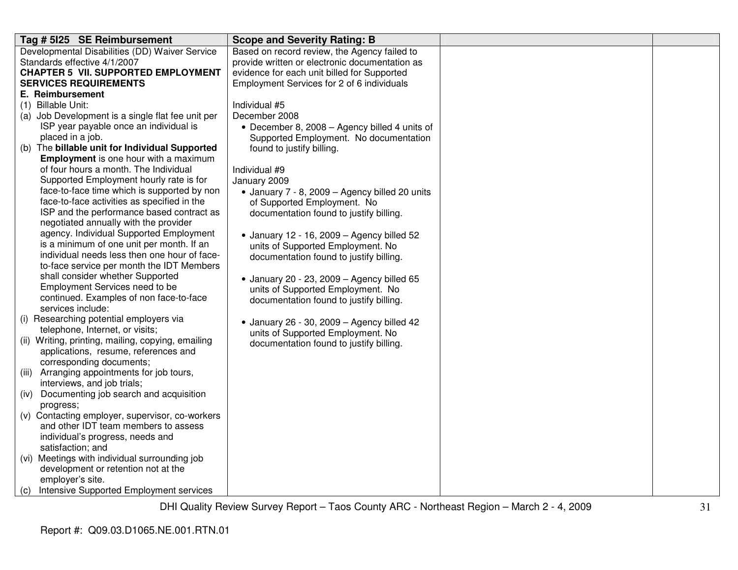| Tag # 5125 SE Reimbursement                        | <b>Scope and Severity Rating: B</b>                |  |
|----------------------------------------------------|----------------------------------------------------|--|
| Developmental Disabilities (DD) Waiver Service     | Based on record review, the Agency failed to       |  |
| Standards effective 4/1/2007                       | provide written or electronic documentation as     |  |
| <b>CHAPTER 5 VII. SUPPORTED EMPLOYMENT</b>         | evidence for each unit billed for Supported        |  |
| <b>SERVICES REQUIREMENTS</b>                       | Employment Services for 2 of 6 individuals         |  |
| E. Reimbursement                                   |                                                    |  |
| (1) Billable Unit:                                 | Individual #5                                      |  |
| (a) Job Development is a single flat fee unit per  | December 2008                                      |  |
| ISP year payable once an individual is             | • December 8, 2008 - Agency billed 4 units of      |  |
| placed in a job.                                   | Supported Employment. No documentation             |  |
| (b) The billable unit for Individual Supported     | found to justify billing.                          |  |
| <b>Employment</b> is one hour with a maximum       |                                                    |  |
| of four hours a month. The Individual              | Individual #9                                      |  |
| Supported Employment hourly rate is for            | January 2009                                       |  |
| face-to-face time which is supported by non        | • January 7 - 8, 2009 - Agency billed 20 units     |  |
| face-to-face activities as specified in the        | of Supported Employment. No                        |  |
| ISP and the performance based contract as          | documentation found to justify billing.            |  |
| negotiated annually with the provider              |                                                    |  |
| agency. Individual Supported Employment            | $\bullet$ January 12 - 16, 2009 - Agency billed 52 |  |
| is a minimum of one unit per month. If an          | units of Supported Employment. No                  |  |
| individual needs less then one hour of face-       | documentation found to justify billing.            |  |
| to-face service per month the IDT Members          |                                                    |  |
| shall consider whether Supported                   | $\bullet$ January 20 - 23, 2009 - Agency billed 65 |  |
| Employment Services need to be                     | units of Supported Employment. No                  |  |
| continued. Examples of non face-to-face            | documentation found to justify billing.            |  |
| services include:                                  |                                                    |  |
| (i) Researching potential employers via            | • January 26 - 30, 2009 - Agency billed 42         |  |
| telephone, Internet, or visits;                    | units of Supported Employment. No                  |  |
| (ii) Writing, printing, mailing, copying, emailing | documentation found to justify billing.            |  |
| applications, resume, references and               |                                                    |  |
| corresponding documents;                           |                                                    |  |
| (iii) Arranging appointments for job tours,        |                                                    |  |
| interviews, and job trials;                        |                                                    |  |
| Documenting job search and acquisition<br>(iv)     |                                                    |  |
| progress;                                          |                                                    |  |
| (v) Contacting employer, supervisor, co-workers    |                                                    |  |
| and other IDT team members to assess               |                                                    |  |
| individual's progress, needs and                   |                                                    |  |
| satisfaction; and                                  |                                                    |  |
| (vi) Meetings with individual surrounding job      |                                                    |  |
| development or retention not at the                |                                                    |  |
| employer's site.                                   |                                                    |  |
| (c) Intensive Supported Employment services        |                                                    |  |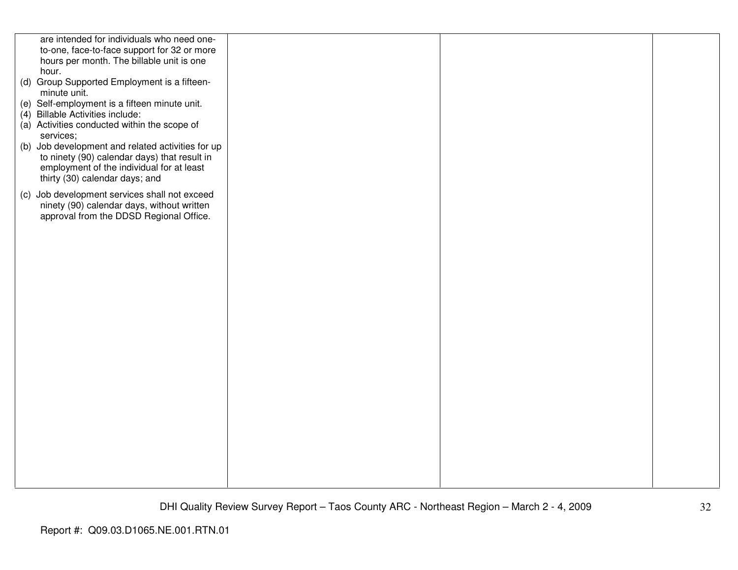| are intended for individuals who need one-        |  |  |
|---------------------------------------------------|--|--|
| to-one, face-to-face support for 32 or more       |  |  |
| hours per month. The billable unit is one         |  |  |
| hour.                                             |  |  |
| (d) Group Supported Employment is a fifteen-      |  |  |
| minute unit.                                      |  |  |
| (e) Self-employment is a fifteen minute unit.     |  |  |
| (4) Billable Activities include:                  |  |  |
| (a) Activities conducted within the scope of      |  |  |
| services;                                         |  |  |
| (b) Job development and related activities for up |  |  |
| to ninety (90) calendar days) that result in      |  |  |
| employment of the individual for at least         |  |  |
| thirty (30) calendar days; and                    |  |  |
| (c) Job development services shall not exceed     |  |  |
| ninety (90) calendar days, without written        |  |  |
| approval from the DDSD Regional Office.           |  |  |
|                                                   |  |  |
|                                                   |  |  |
|                                                   |  |  |
|                                                   |  |  |
|                                                   |  |  |
|                                                   |  |  |
|                                                   |  |  |
|                                                   |  |  |
|                                                   |  |  |
|                                                   |  |  |
|                                                   |  |  |
|                                                   |  |  |
|                                                   |  |  |
|                                                   |  |  |
|                                                   |  |  |
|                                                   |  |  |
|                                                   |  |  |
|                                                   |  |  |
|                                                   |  |  |
|                                                   |  |  |
|                                                   |  |  |
|                                                   |  |  |
|                                                   |  |  |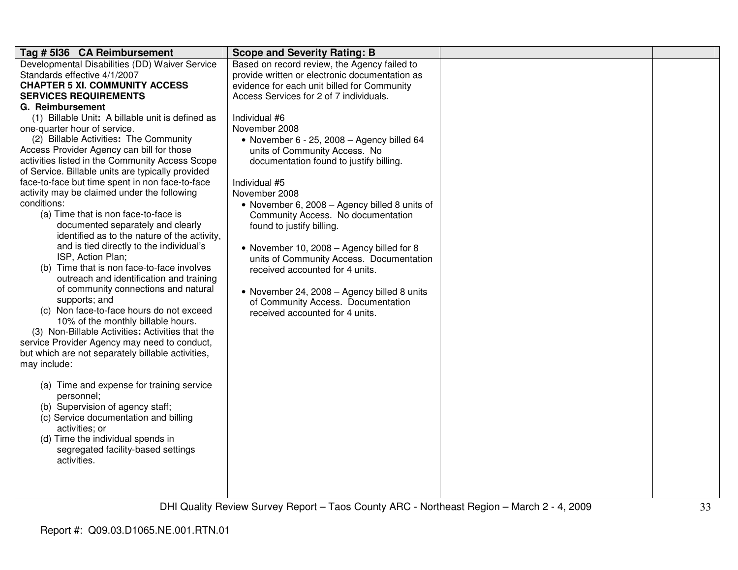| Tag # 5136 CA Reimbursement                                       | <b>Scope and Severity Rating: B</b>            |  |
|-------------------------------------------------------------------|------------------------------------------------|--|
| Developmental Disabilities (DD) Waiver Service                    | Based on record review, the Agency failed to   |  |
| Standards effective 4/1/2007                                      | provide written or electronic documentation as |  |
| <b>CHAPTER 5 XI. COMMUNITY ACCESS</b>                             | evidence for each unit billed for Community    |  |
| <b>SERVICES REQUIREMENTS</b>                                      | Access Services for 2 of 7 individuals.        |  |
| G. Reimbursement                                                  |                                                |  |
| (1) Billable Unit: A billable unit is defined as                  | Individual #6                                  |  |
| one-quarter hour of service.                                      | November 2008                                  |  |
| (2) Billable Activities: The Community                            | • November $6 - 25$ , 2008 - Agency billed 64  |  |
| Access Provider Agency can bill for those                         | units of Community Access. No                  |  |
| activities listed in the Community Access Scope                   | documentation found to justify billing.        |  |
| of Service. Billable units are typically provided                 |                                                |  |
| face-to-face but time spent in non face-to-face                   | Individual #5                                  |  |
| activity may be claimed under the following                       | November 2008                                  |  |
| conditions:                                                       | • November 6, 2008 - Agency billed 8 units of  |  |
| (a) Time that is non face-to-face is                              | Community Access. No documentation             |  |
| documented separately and clearly                                 | found to justify billing.                      |  |
| identified as to the nature of the activity,                      |                                                |  |
| and is tied directly to the individual's                          | • November 10, 2008 - Agency billed for 8      |  |
| ISP, Action Plan;                                                 | units of Community Access. Documentation       |  |
| (b) Time that is non face-to-face involves                        | received accounted for 4 units.                |  |
| outreach and identification and training                          |                                                |  |
| of community connections and natural                              | • November 24, 2008 - Agency billed 8 units    |  |
| supports; and                                                     | of Community Access. Documentation             |  |
| (c) Non face-to-face hours do not exceed                          | received accounted for 4 units.                |  |
| 10% of the monthly billable hours.                                |                                                |  |
| (3) Non-Billable Activities: Activities that the                  |                                                |  |
| service Provider Agency may need to conduct,                      |                                                |  |
| but which are not separately billable activities,<br>may include: |                                                |  |
|                                                                   |                                                |  |
|                                                                   |                                                |  |
| (a) Time and expense for training service<br>personnel;           |                                                |  |
| (b) Supervision of agency staff;                                  |                                                |  |
| (c) Service documentation and billing                             |                                                |  |
| activities; or                                                    |                                                |  |
| (d) Time the individual spends in                                 |                                                |  |
| segregated facility-based settings                                |                                                |  |
| activities.                                                       |                                                |  |
|                                                                   |                                                |  |
|                                                                   |                                                |  |
|                                                                   |                                                |  |
|                                                                   |                                                |  |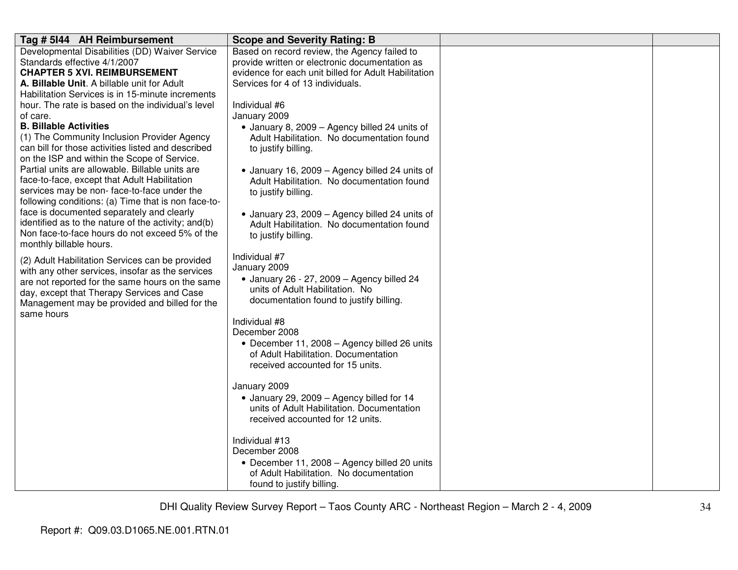| Tag # 5144 AH Reimbursement                         | <b>Scope and Severity Rating: B</b>                  |  |
|-----------------------------------------------------|------------------------------------------------------|--|
| Developmental Disabilities (DD) Waiver Service      | Based on record review, the Agency failed to         |  |
| Standards effective 4/1/2007                        | provide written or electronic documentation as       |  |
| <b>CHAPTER 5 XVI. REIMBURSEMENT</b>                 | evidence for each unit billed for Adult Habilitation |  |
| A. Billable Unit. A billable unit for Adult         | Services for 4 of 13 individuals.                    |  |
| Habilitation Services is in 15-minute increments    |                                                      |  |
| hour. The rate is based on the individual's level   | Individual #6                                        |  |
| of care.                                            | January 2009                                         |  |
| <b>B. Billable Activities</b>                       | • January 8, 2009 - Agency billed 24 units of        |  |
| (1) The Community Inclusion Provider Agency         | Adult Habilitation. No documentation found           |  |
| can bill for those activities listed and described  | to justify billing.                                  |  |
| on the ISP and within the Scope of Service.         |                                                      |  |
| Partial units are allowable. Billable units are     | • January 16, 2009 - Agency billed 24 units of       |  |
| face-to-face, except that Adult Habilitation        | Adult Habilitation. No documentation found           |  |
| services may be non-face-to-face under the          | to justify billing.                                  |  |
| following conditions: (a) Time that is non face-to- |                                                      |  |
| face is documented separately and clearly           | • January 23, 2009 - Agency billed 24 units of       |  |
| identified as to the nature of the activity; and(b) | Adult Habilitation. No documentation found           |  |
| Non face-to-face hours do not exceed 5% of the      | to justify billing.                                  |  |
| monthly billable hours.                             |                                                      |  |
| (2) Adult Habilitation Services can be provided     | Individual #7                                        |  |
| with any other services, insofar as the services    | January 2009                                         |  |
| are not reported for the same hours on the same     | • January 26 - 27, 2009 - Agency billed 24           |  |
| day, except that Therapy Services and Case          | units of Adult Habilitation. No                      |  |
| Management may be provided and billed for the       | documentation found to justify billing.              |  |
| same hours                                          |                                                      |  |
|                                                     | Individual #8                                        |  |
|                                                     | December 2008                                        |  |
|                                                     | • December 11, 2008 - Agency billed 26 units         |  |
|                                                     | of Adult Habilitation. Documentation                 |  |
|                                                     | received accounted for 15 units.                     |  |
|                                                     |                                                      |  |
|                                                     | January 2009                                         |  |
|                                                     | • January 29, 2009 - Agency billed for 14            |  |
|                                                     | units of Adult Habilitation. Documentation           |  |
|                                                     | received accounted for 12 units.                     |  |
|                                                     |                                                      |  |
|                                                     | Individual #13                                       |  |
|                                                     | December 2008                                        |  |
|                                                     | • December 11, 2008 - Agency billed 20 units         |  |
|                                                     | of Adult Habilitation. No documentation              |  |
|                                                     | found to justify billing.                            |  |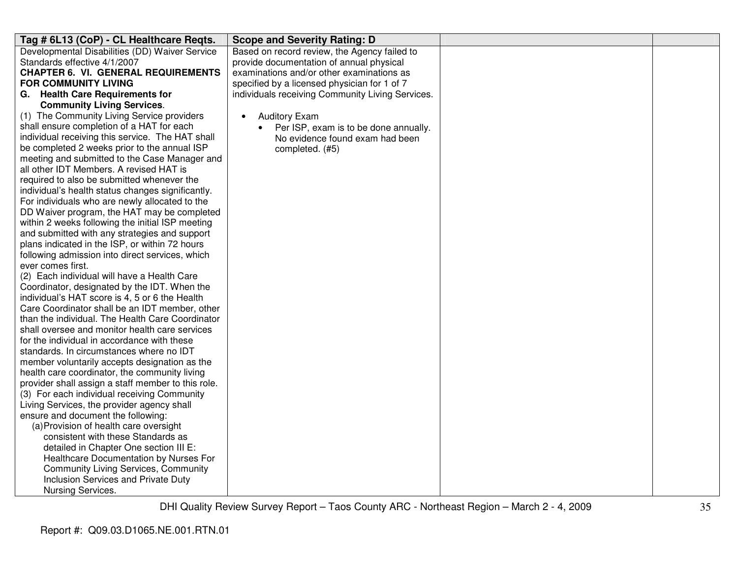| Tag # 6L13 (CoP) - CL Healthcare Regts.                                                             | <b>Scope and Severity Rating: D</b>                |  |
|-----------------------------------------------------------------------------------------------------|----------------------------------------------------|--|
| Developmental Disabilities (DD) Waiver Service                                                      | Based on record review, the Agency failed to       |  |
| Standards effective 4/1/2007                                                                        | provide documentation of annual physical           |  |
| <b>CHAPTER 6. VI. GENERAL REQUIREMENTS</b>                                                          | examinations and/or other examinations as          |  |
| <b>FOR COMMUNITY LIVING</b>                                                                         | specified by a licensed physician for 1 of 7       |  |
| G. Health Care Requirements for                                                                     | individuals receiving Community Living Services.   |  |
| <b>Community Living Services.</b>                                                                   |                                                    |  |
| (1) The Community Living Service providers                                                          | <b>Auditory Exam</b><br>$\bullet$                  |  |
| shall ensure completion of a HAT for each                                                           | Per ISP, exam is to be done annually.<br>$\bullet$ |  |
| individual receiving this service. The HAT shall                                                    | No evidence found exam had been                    |  |
| be completed 2 weeks prior to the annual ISP                                                        | completed. (#5)                                    |  |
| meeting and submitted to the Case Manager and                                                       |                                                    |  |
| all other IDT Members. A revised HAT is                                                             |                                                    |  |
| required to also be submitted whenever the                                                          |                                                    |  |
| individual's health status changes significantly.                                                   |                                                    |  |
| For individuals who are newly allocated to the                                                      |                                                    |  |
| DD Waiver program, the HAT may be completed                                                         |                                                    |  |
| within 2 weeks following the initial ISP meeting                                                    |                                                    |  |
| and submitted with any strategies and support                                                       |                                                    |  |
| plans indicated in the ISP, or within 72 hours                                                      |                                                    |  |
| following admission into direct services, which                                                     |                                                    |  |
| ever comes first.                                                                                   |                                                    |  |
| (2) Each individual will have a Health Care                                                         |                                                    |  |
| Coordinator, designated by the IDT. When the                                                        |                                                    |  |
| individual's HAT score is 4, 5 or 6 the Health                                                      |                                                    |  |
| Care Coordinator shall be an IDT member, other                                                      |                                                    |  |
| than the individual. The Health Care Coordinator                                                    |                                                    |  |
| shall oversee and monitor health care services                                                      |                                                    |  |
| for the individual in accordance with these                                                         |                                                    |  |
| standards. In circumstances where no IDT                                                            |                                                    |  |
| member voluntarily accepts designation as the                                                       |                                                    |  |
| health care coordinator, the community living<br>provider shall assign a staff member to this role. |                                                    |  |
| (3) For each individual receiving Community                                                         |                                                    |  |
| Living Services, the provider agency shall                                                          |                                                    |  |
| ensure and document the following:                                                                  |                                                    |  |
| (a) Provision of health care oversight                                                              |                                                    |  |
| consistent with these Standards as                                                                  |                                                    |  |
| detailed in Chapter One section III E:                                                              |                                                    |  |
| Healthcare Documentation by Nurses For                                                              |                                                    |  |
| <b>Community Living Services, Community</b>                                                         |                                                    |  |
| Inclusion Services and Private Duty                                                                 |                                                    |  |
| Nursing Services.                                                                                   |                                                    |  |
|                                                                                                     |                                                    |  |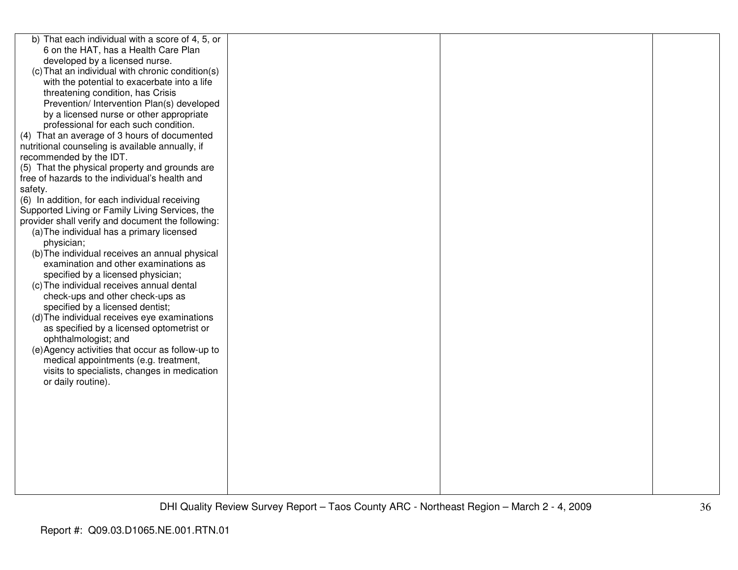| b) That each individual with a score of 4, 5, or  |  |  |
|---------------------------------------------------|--|--|
| 6 on the HAT, has a Health Care Plan              |  |  |
| developed by a licensed nurse.                    |  |  |
| (c) That an individual with chronic condition(s)  |  |  |
| with the potential to exacerbate into a life      |  |  |
| threatening condition, has Crisis                 |  |  |
| Prevention/ Intervention Plan(s) developed        |  |  |
| by a licensed nurse or other appropriate          |  |  |
| professional for each such condition.             |  |  |
| (4) That an average of 3 hours of documented      |  |  |
| nutritional counseling is available annually, if  |  |  |
| recommended by the IDT.                           |  |  |
| (5) That the physical property and grounds are    |  |  |
| free of hazards to the individual's health and    |  |  |
| safety.                                           |  |  |
| (6) In addition, for each individual receiving    |  |  |
| Supported Living or Family Living Services, the   |  |  |
| provider shall verify and document the following: |  |  |
| (a) The individual has a primary licensed         |  |  |
| physician;                                        |  |  |
| (b) The individual receives an annual physical    |  |  |
| examination and other examinations as             |  |  |
| specified by a licensed physician;                |  |  |
| (c) The individual receives annual dental         |  |  |
| check-ups and other check-ups as                  |  |  |
| specified by a licensed dentist;                  |  |  |
| (d) The individual receives eye examinations      |  |  |
| as specified by a licensed optometrist or         |  |  |
| ophthalmologist; and                              |  |  |
| (e) Agency activities that occur as follow-up to  |  |  |
| medical appointments (e.g. treatment,             |  |  |
| visits to specialists, changes in medication      |  |  |
| or daily routine).                                |  |  |
|                                                   |  |  |
|                                                   |  |  |
|                                                   |  |  |
|                                                   |  |  |
|                                                   |  |  |
|                                                   |  |  |
|                                                   |  |  |
|                                                   |  |  |
|                                                   |  |  |
|                                                   |  |  |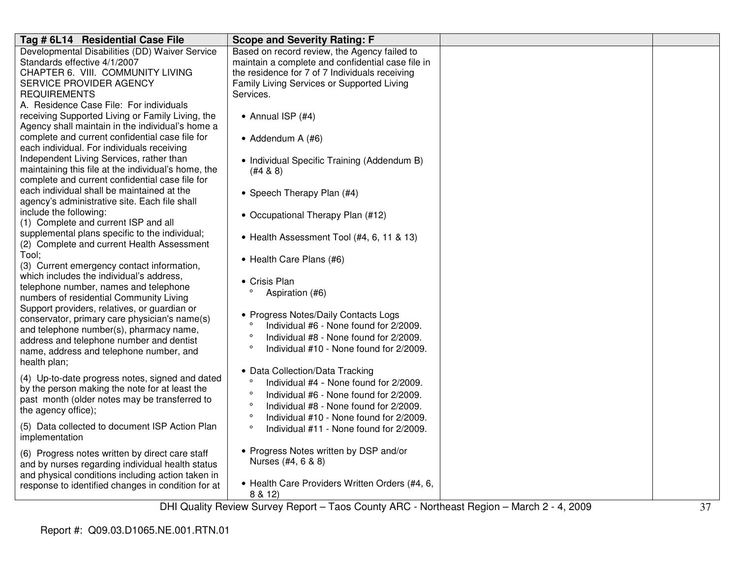| Tag # 6L14 Residential Case File                    | <b>Scope and Severity Rating: F</b>                                            |  |
|-----------------------------------------------------|--------------------------------------------------------------------------------|--|
| Developmental Disabilities (DD) Waiver Service      | Based on record review, the Agency failed to                                   |  |
| Standards effective 4/1/2007                        | maintain a complete and confidential case file in                              |  |
| CHAPTER 6. VIII. COMMUNITY LIVING                   | the residence for 7 of 7 Individuals receiving                                 |  |
| SERVICE PROVIDER AGENCY                             | Family Living Services or Supported Living                                     |  |
| <b>REQUIREMENTS</b>                                 | Services.                                                                      |  |
| A. Residence Case File: For individuals             |                                                                                |  |
| receiving Supported Living or Family Living, the    | • Annual ISP (#4)                                                              |  |
| Agency shall maintain in the individual's home a    |                                                                                |  |
| complete and current confidential case file for     | • Addendum A (#6)                                                              |  |
| each individual. For individuals receiving          |                                                                                |  |
| Independent Living Services, rather than            | • Individual Specific Training (Addendum B)                                    |  |
| maintaining this file at the individual's home, the | (#4 & 8)                                                                       |  |
| complete and current confidential case file for     |                                                                                |  |
| each individual shall be maintained at the          | • Speech Therapy Plan (#4)                                                     |  |
| agency's administrative site. Each file shall       |                                                                                |  |
| include the following:                              | • Occupational Therapy Plan (#12)                                              |  |
| (1) Complete and current ISP and all                |                                                                                |  |
| supplemental plans specific to the individual;      | • Health Assessment Tool (#4, 6, 11 & 13)                                      |  |
| (2) Complete and current Health Assessment          |                                                                                |  |
| Tool;                                               | • Health Care Plans (#6)                                                       |  |
| (3) Current emergency contact information,          |                                                                                |  |
| which includes the individual's address,            | • Crisis Plan                                                                  |  |
| telephone number, names and telephone               | Aspiration (#6)                                                                |  |
| numbers of residential Community Living             |                                                                                |  |
| Support providers, relatives, or guardian or        |                                                                                |  |
| conservator, primary care physician's name(s)       | • Progress Notes/Daily Contacts Logs<br>Individual #6 - None found for 2/2009. |  |
| and telephone number(s), pharmacy name,             | $\circ$                                                                        |  |
| address and telephone number and dentist            | Individual #8 - None found for 2/2009.<br>$\circ$                              |  |
| name, address and telephone number, and             | Individual #10 - None found for 2/2009.                                        |  |
| health plan;                                        |                                                                                |  |
| (4) Up-to-date progress notes, signed and dated     | • Data Collection/Data Tracking                                                |  |
| by the person making the note for at least the      | $\circ$<br>Individual #4 - None found for 2/2009.                              |  |
| past month (older notes may be transferred to       | $\circ$<br>Individual #6 - None found for 2/2009.                              |  |
| the agency office);                                 | $\circ$<br>Individual #8 - None found for 2/2009.                              |  |
|                                                     | $\circ$<br>Individual #10 - None found for 2/2009.                             |  |
| (5) Data collected to document ISP Action Plan      | $\circ$<br>Individual #11 - None found for 2/2009.                             |  |
| implementation                                      |                                                                                |  |
| (6) Progress notes written by direct care staff     | • Progress Notes written by DSP and/or                                         |  |
| and by nurses regarding individual health status    | Nurses (#4, 6 & 8)                                                             |  |
| and physical conditions including action taken in   |                                                                                |  |
| response to identified changes in condition for at  | • Health Care Providers Written Orders (#4, 6,                                 |  |
|                                                     | 8 & 12)                                                                        |  |
|                                                     |                                                                                |  |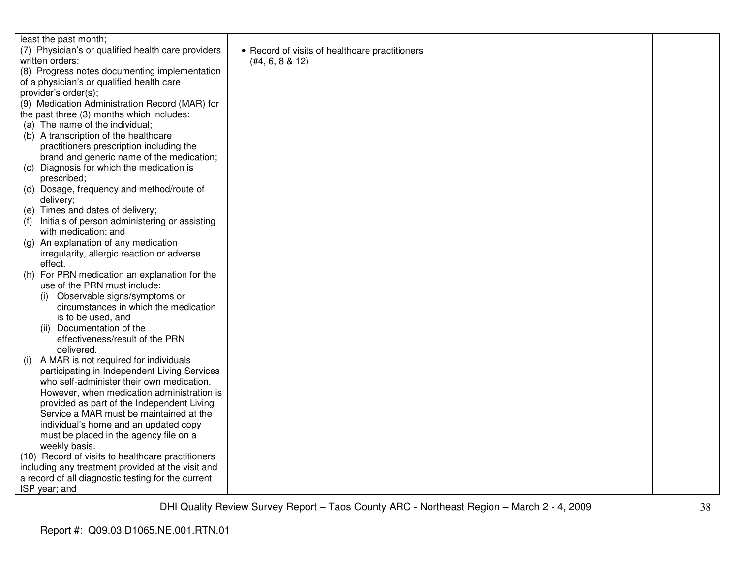| least the past month;                                |                                                |  |
|------------------------------------------------------|------------------------------------------------|--|
| (7) Physician's or qualified health care providers   | • Record of visits of healthcare practitioners |  |
| written orders;                                      | (#4, 6, 8 & 12)                                |  |
| (8) Progress notes documenting implementation        |                                                |  |
| of a physician's or qualified health care            |                                                |  |
| provider's order(s);                                 |                                                |  |
| (9) Medication Administration Record (MAR) for       |                                                |  |
| the past three (3) months which includes:            |                                                |  |
| (a) The name of the individual;                      |                                                |  |
| (b) A transcription of the healthcare                |                                                |  |
| practitioners prescription including the             |                                                |  |
| brand and generic name of the medication;            |                                                |  |
| (c) Diagnosis for which the medication is            |                                                |  |
| prescribed;                                          |                                                |  |
| (d) Dosage, frequency and method/route of            |                                                |  |
| delivery;                                            |                                                |  |
| (e) Times and dates of delivery;                     |                                                |  |
| Initials of person administering or assisting<br>(f) |                                                |  |
| with medication; and                                 |                                                |  |
| An explanation of any medication<br>(q)              |                                                |  |
| irregularity, allergic reaction or adverse           |                                                |  |
| effect.                                              |                                                |  |
| (h) For PRN medication an explanation for the        |                                                |  |
| use of the PRN must include:                         |                                                |  |
| (i) Observable signs/symptoms or                     |                                                |  |
| circumstances in which the medication                |                                                |  |
| is to be used, and                                   |                                                |  |
| (ii) Documentation of the                            |                                                |  |
| effectiveness/result of the PRN                      |                                                |  |
| delivered.                                           |                                                |  |
| A MAR is not required for individuals<br>(i)         |                                                |  |
| participating in Independent Living Services         |                                                |  |
| who self-administer their own medication.            |                                                |  |
| However, when medication administration is           |                                                |  |
| provided as part of the Independent Living           |                                                |  |
| Service a MAR must be maintained at the              |                                                |  |
| individual's home and an updated copy                |                                                |  |
| must be placed in the agency file on a               |                                                |  |
| weekly basis.                                        |                                                |  |
| (10) Record of visits to healthcare practitioners    |                                                |  |
| including any treatment provided at the visit and    |                                                |  |
| a record of all diagnostic testing for the current   |                                                |  |
| ISP year; and                                        |                                                |  |
|                                                      |                                                |  |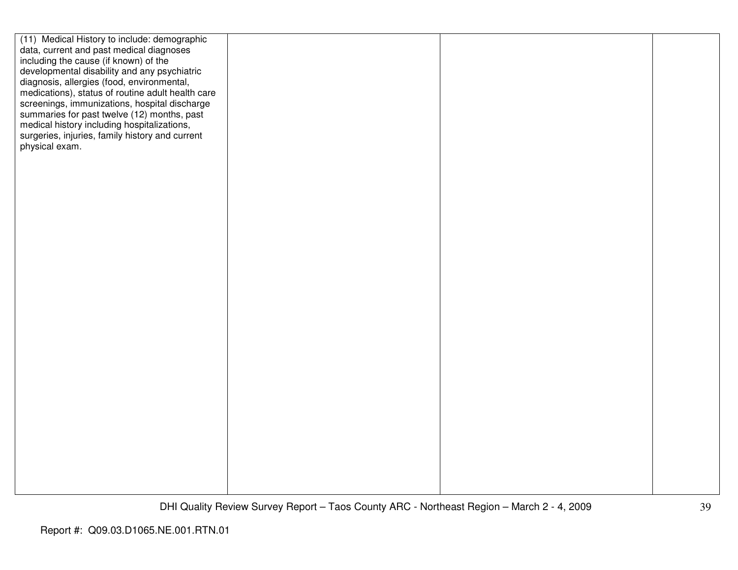| (11) Medical History to include: demographic      |  |  |
|---------------------------------------------------|--|--|
| data, current and past medical diagnoses          |  |  |
| including the cause (if known) of the             |  |  |
| developmental disability and any psychiatric      |  |  |
| diagnosis, allergies (food, environmental,        |  |  |
| medications), status of routine adult health care |  |  |
| screenings, immunizations, hospital discharge     |  |  |
| summaries for past twelve (12) months, past       |  |  |
| medical history including hospitalizations,       |  |  |
| surgeries, injuries, family history and current   |  |  |
| physical exam.                                    |  |  |
|                                                   |  |  |
|                                                   |  |  |
|                                                   |  |  |
|                                                   |  |  |
|                                                   |  |  |
|                                                   |  |  |
|                                                   |  |  |
|                                                   |  |  |
|                                                   |  |  |
|                                                   |  |  |
|                                                   |  |  |
|                                                   |  |  |
|                                                   |  |  |
|                                                   |  |  |
|                                                   |  |  |
|                                                   |  |  |
|                                                   |  |  |
|                                                   |  |  |
|                                                   |  |  |
|                                                   |  |  |
|                                                   |  |  |
|                                                   |  |  |
|                                                   |  |  |
|                                                   |  |  |
|                                                   |  |  |
|                                                   |  |  |
|                                                   |  |  |
|                                                   |  |  |
|                                                   |  |  |
|                                                   |  |  |
|                                                   |  |  |
|                                                   |  |  |
|                                                   |  |  |